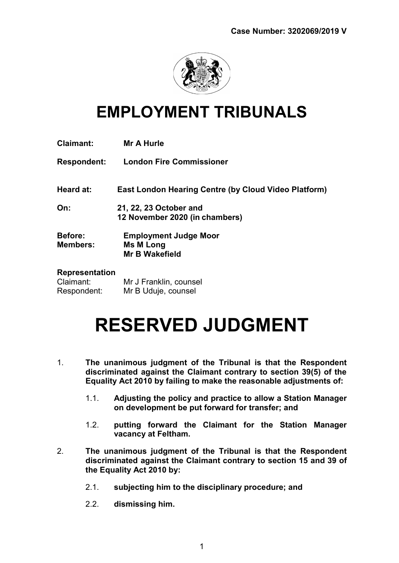

# EMPLOYMENT TRIBUNALS

| <b>Claimant:</b>                                  | <b>Mr A Hurle</b>                                                  |
|---------------------------------------------------|--------------------------------------------------------------------|
| <b>Respondent:</b>                                | <b>London Fire Commissioner</b>                                    |
| Heard at:                                         | East London Hearing Centre (by Cloud Video Platform)               |
| On:                                               | 21, 22, 23 October and<br>12 November 2020 (in chambers)           |
| <b>Before:</b><br><b>Members:</b>                 | <b>Employment Judge Moor</b><br>Ms M Long<br><b>Mr B Wakefield</b> |
| <b>Representation</b><br>Claimant:<br>Respondent: | Mr J Franklin, counsel<br>Mr B Uduje, counsel                      |

# RESERVED JUDGMENT

- 1. The unanimous judgment of the Tribunal is that the Respondent discriminated against the Claimant contrary to section 39(5) of the Equality Act 2010 by failing to make the reasonable adjustments of:
	- 1.1. Adjusting the policy and practice to allow a Station Manager on development be put forward for transfer; and
	- 1.2. putting forward the Claimant for the Station Manager vacancy at Feltham.
- 2. The unanimous judgment of the Tribunal is that the Respondent discriminated against the Claimant contrary to section 15 and 39 of the Equality Act 2010 by:
	- 2.1. subjecting him to the disciplinary procedure; and
	- 2.2. dismissing him.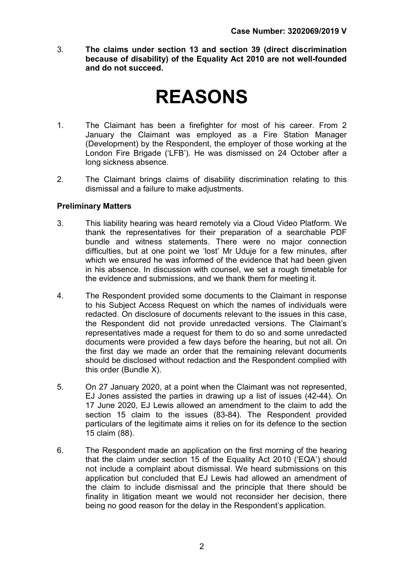3. The claims under section 13 and section 39 (direct discrimination because of disability) of the Equality Act 2010 are not well-founded and do not succeed.

# REASONS

- 1. The Claimant has been a firefighter for most of his career. From 2 January the Claimant was employed as a Fire Station Manager (Development) by the Respondent, the employer of those working at the London Fire Brigade ('LFB'). He was dismissed on 24 October after a long sickness absence.
- 2. The Claimant brings claims of disability discrimination relating to this dismissal and a failure to make adjustments.

# Preliminary Matters

- 3. This liability hearing was heard remotely via a Cloud Video Platform. We thank the representatives for their preparation of a searchable PDF bundle and witness statements. There were no major connection difficulties, but at one point we 'lost' Mr Uduje for a few minutes, after which we ensured he was informed of the evidence that had been given in his absence. In discussion with counsel, we set a rough timetable for the evidence and submissions, and we thank them for meeting it.
- 4. The Respondent provided some documents to the Claimant in response to his Subject Access Request on which the names of individuals were redacted. On disclosure of documents relevant to the issues in this case, the Respondent did not provide unredacted versions. The Claimant's representatives made a request for them to do so and some unredacted documents were provided a few days before the hearing, but not all. On the first day we made an order that the remaining relevant documents should be disclosed without redaction and the Respondent complied with this order (Bundle X).
- 5. On 27 January 2020, at a point when the Claimant was not represented, EJ Jones assisted the parties in drawing up a list of issues (42-44). On 17 June 2020, EJ Lewis allowed an amendment to the claim to add the section 15 claim to the issues (83-84). The Respondent provided particulars of the legitimate aims it relies on for its defence to the section 15 claim (88).
- 6. The Respondent made an application on the first morning of the hearing that the claim under section 15 of the Equality Act 2010 ('EQA') should not include a complaint about dismissal. We heard submissions on this application but concluded that EJ Lewis had allowed an amendment of the claim to include dismissal and the principle that there should be finality in litigation meant we would not reconsider her decision, there being no good reason for the delay in the Respondent's application.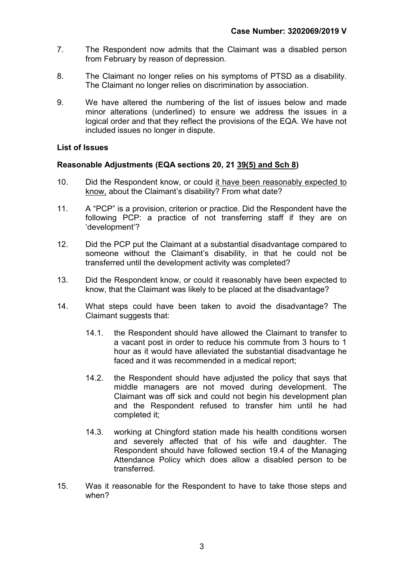- 7. The Respondent now admits that the Claimant was a disabled person from February by reason of depression.
- 8. The Claimant no longer relies on his symptoms of PTSD as a disability. The Claimant no longer relies on discrimination by association.
- 9. We have altered the numbering of the list of issues below and made minor alterations (underlined) to ensure we address the issues in a logical order and that they reflect the provisions of the EQA. We have not included issues no longer in dispute.

#### List of Issues

# Reasonable Adjustments (EQA sections 20, 21 39(5) and Sch 8)

- 10. Did the Respondent know, or could it have been reasonably expected to know, about the Claimant's disability? From what date?
- 11. A "PCP" is a provision, criterion or practice. Did the Respondent have the following PCP: a practice of not transferring staff if they are on 'development'?
- 12. Did the PCP put the Claimant at a substantial disadvantage compared to someone without the Claimant's disability, in that he could not be transferred until the development activity was completed?
- 13. Did the Respondent know, or could it reasonably have been expected to know, that the Claimant was likely to be placed at the disadvantage?
- 14. What steps could have been taken to avoid the disadvantage? The Claimant suggests that:
	- 14.1. the Respondent should have allowed the Claimant to transfer to a vacant post in order to reduce his commute from 3 hours to 1 hour as it would have alleviated the substantial disadvantage he faced and it was recommended in a medical report;
	- 14.2. the Respondent should have adjusted the policy that says that middle managers are not moved during development. The Claimant was off sick and could not begin his development plan and the Respondent refused to transfer him until he had completed it;
	- 14.3. working at Chingford station made his health conditions worsen and severely affected that of his wife and daughter. The Respondent should have followed section 19.4 of the Managing Attendance Policy which does allow a disabled person to be transferred.
- 15. Was it reasonable for the Respondent to have to take those steps and when?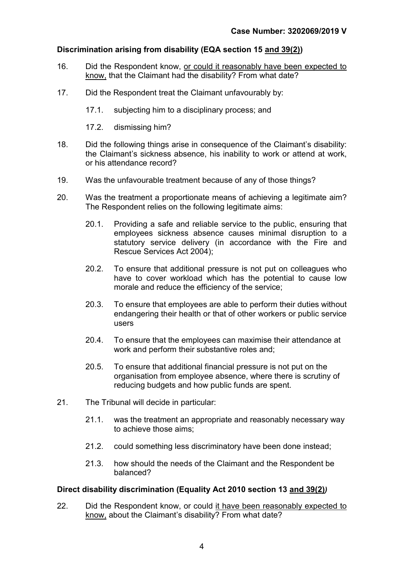# Discrimination arising from disability (EQA section 15 and 39(2))

- 16. Did the Respondent know, or could it reasonably have been expected to know, that the Claimant had the disability? From what date?
- 17. Did the Respondent treat the Claimant unfavourably by:
	- 17.1. subjecting him to a disciplinary process; and
	- 17.2. dismissing him?
- 18. Did the following things arise in consequence of the Claimant's disability: the Claimant's sickness absence, his inability to work or attend at work, or his attendance record?
- 19. Was the unfavourable treatment because of any of those things?
- 20. Was the treatment a proportionate means of achieving a legitimate aim? The Respondent relies on the following legitimate aims:
	- 20.1. Providing a safe and reliable service to the public, ensuring that employees sickness absence causes minimal disruption to a statutory service delivery (in accordance with the Fire and Rescue Services Act 2004);
	- 20.2. To ensure that additional pressure is not put on colleagues who have to cover workload which has the potential to cause low morale and reduce the efficiency of the service;
	- 20.3. To ensure that employees are able to perform their duties without endangering their health or that of other workers or public service users
	- 20.4. To ensure that the employees can maximise their attendance at work and perform their substantive roles and;
	- 20.5. To ensure that additional financial pressure is not put on the organisation from employee absence, where there is scrutiny of reducing budgets and how public funds are spent.
- 21. The Tribunal will decide in particular:
	- 21.1. was the treatment an appropriate and reasonably necessary way to achieve those aims;
	- 21.2. could something less discriminatory have been done instead;
	- 21.3. how should the needs of the Claimant and the Respondent be balanced?

# Direct disability discrimination (Equality Act 2010 section 13 and 39(2))

22. Did the Respondent know, or could it have been reasonably expected to know, about the Claimant's disability? From what date?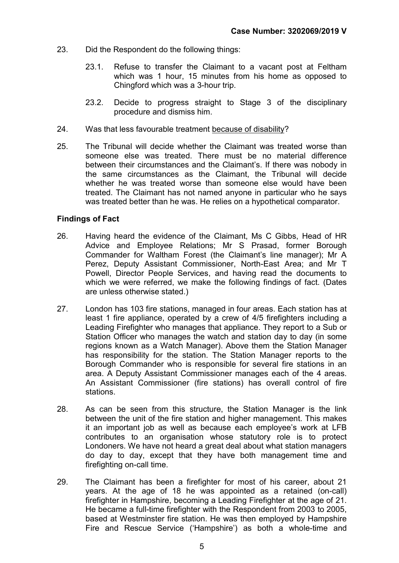- 23. Did the Respondent do the following things:
	- 23.1. Refuse to transfer the Claimant to a vacant post at Feltham which was 1 hour, 15 minutes from his home as opposed to Chingford which was a 3-hour trip.
	- 23.2. Decide to progress straight to Stage 3 of the disciplinary procedure and dismiss him.
- 24. Was that less favourable treatment because of disability?
- 25. The Tribunal will decide whether the Claimant was treated worse than someone else was treated. There must be no material difference between their circumstances and the Claimant's. If there was nobody in the same circumstances as the Claimant, the Tribunal will decide whether he was treated worse than someone else would have been treated. The Claimant has not named anyone in particular who he says was treated better than he was. He relies on a hypothetical comparator.

#### Findings of Fact

- 26. Having heard the evidence of the Claimant, Ms C Gibbs, Head of HR Advice and Employee Relations; Mr S Prasad, former Borough Commander for Waltham Forest (the Claimant's line manager); Mr A Perez, Deputy Assistant Commissioner, North-East Area; and Mr T Powell, Director People Services, and having read the documents to which we were referred, we make the following findings of fact. (Dates are unless otherwise stated.)
- 27. London has 103 fire stations, managed in four areas. Each station has at least 1 fire appliance, operated by a crew of 4/5 firefighters including a Leading Firefighter who manages that appliance. They report to a Sub or Station Officer who manages the watch and station day to day (in some regions known as a Watch Manager). Above them the Station Manager has responsibility for the station. The Station Manager reports to the Borough Commander who is responsible for several fire stations in an area. A Deputy Assistant Commissioner manages each of the 4 areas. An Assistant Commissioner (fire stations) has overall control of fire stations.
- 28. As can be seen from this structure, the Station Manager is the link between the unit of the fire station and higher management. This makes it an important job as well as because each employee's work at LFB contributes to an organisation whose statutory role is to protect Londoners. We have not heard a great deal about what station managers do day to day, except that they have both management time and firefighting on-call time.
- 29. The Claimant has been a firefighter for most of his career, about 21 years. At the age of 18 he was appointed as a retained (on-call) firefighter in Hampshire, becoming a Leading Firefighter at the age of 21. He became a full-time firefighter with the Respondent from 2003 to 2005, based at Westminster fire station. He was then employed by Hampshire Fire and Rescue Service ('Hampshire') as both a whole-time and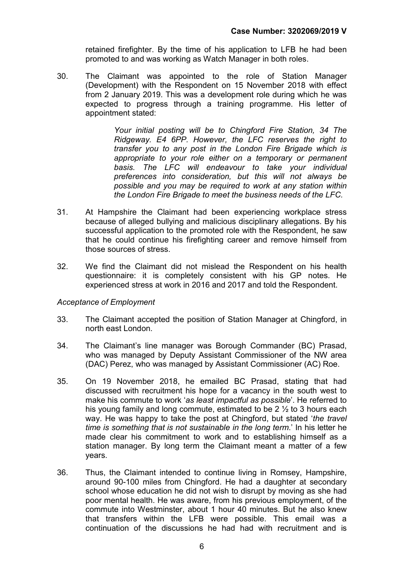retained firefighter. By the time of his application to LFB he had been promoted to and was working as Watch Manager in both roles.

30. The Claimant was appointed to the role of Station Manager (Development) with the Respondent on 15 November 2018 with effect from 2 January 2019. This was a development role during which he was expected to progress through a training programme. His letter of appointment stated:

> Your initial posting will be to Chingford Fire Station, 34 The Ridgeway. E4 6PP. However, the LFC reserves the right to transfer you to any post in the London Fire Brigade which is appropriate to your role either on a temporary or permanent basis. The LFC will endeavour to take your individual preferences into consideration, but this will not always be possible and you may be required to work at any station within the London Fire Brigade to meet the business needs of the LFC.

- 31. At Hampshire the Claimant had been experiencing workplace stress because of alleged bullying and malicious disciplinary allegations. By his successful application to the promoted role with the Respondent, he saw that he could continue his firefighting career and remove himself from those sources of stress.
- 32. We find the Claimant did not mislead the Respondent on his health questionnaire: it is completely consistent with his GP notes. He experienced stress at work in 2016 and 2017 and told the Respondent.

#### Acceptance of Employment

- 33. The Claimant accepted the position of Station Manager at Chingford, in north east London.
- 34. The Claimant's line manager was Borough Commander (BC) Prasad, who was managed by Deputy Assistant Commissioner of the NW area (DAC) Perez, who was managed by Assistant Commissioner (AC) Roe.
- 35. On 19 November 2018, he emailed BC Prasad, stating that had discussed with recruitment his hope for a vacancy in the south west to make his commute to work 'as least impactful as possible'. He referred to his young family and long commute, estimated to be 2 ½ to 3 hours each way. He was happy to take the post at Chingford, but stated 'the travel time is something that is not sustainable in the long term.' In his letter he made clear his commitment to work and to establishing himself as a station manager. By long term the Claimant meant a matter of a few years.
- 36. Thus, the Claimant intended to continue living in Romsey, Hampshire, around 90-100 miles from Chingford. He had a daughter at secondary school whose education he did not wish to disrupt by moving as she had poor mental health. He was aware, from his previous employment, of the commute into Westminster, about 1 hour 40 minutes. But he also knew that transfers within the LFB were possible. This email was a continuation of the discussions he had had with recruitment and is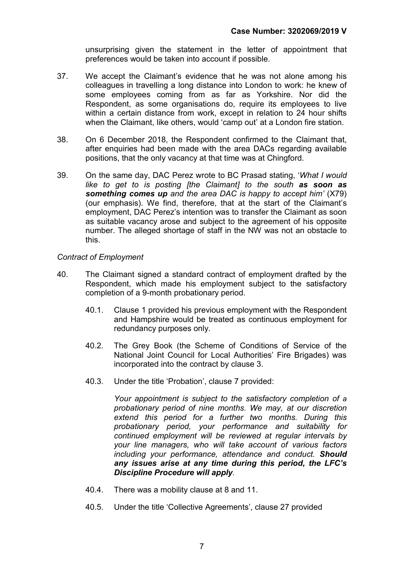unsurprising given the statement in the letter of appointment that preferences would be taken into account if possible.

- 37. We accept the Claimant's evidence that he was not alone among his colleagues in travelling a long distance into London to work: he knew of some employees coming from as far as Yorkshire. Nor did the Respondent, as some organisations do, require its employees to live within a certain distance from work, except in relation to 24 hour shifts when the Claimant, like others, would 'camp out' at a London fire station.
- 38. On 6 December 2018, the Respondent confirmed to the Claimant that, after enquiries had been made with the area DACs regarding available positions, that the only vacancy at that time was at Chingford.
- 39. On the same day, DAC Perez wrote to BC Prasad stating, 'What I would like to get to is posting [the Claimant] to the south as soon as something comes up and the area DAC is happy to accept him' (X79) (our emphasis). We find, therefore, that at the start of the Claimant's employment, DAC Perez's intention was to transfer the Claimant as soon as suitable vacancy arose and subject to the agreement of his opposite number. The alleged shortage of staff in the NW was not an obstacle to this.

# Contract of Employment

- 40. The Claimant signed a standard contract of employment drafted by the Respondent, which made his employment subject to the satisfactory completion of a 9-month probationary period.
	- 40.1. Clause 1 provided his previous employment with the Respondent and Hampshire would be treated as continuous employment for redundancy purposes only.
	- 40.2. The Grey Book (the Scheme of Conditions of Service of the National Joint Council for Local Authorities' Fire Brigades) was incorporated into the contract by clause 3.
	- 40.3. Under the title 'Probation', clause 7 provided:

Your appointment is subject to the satisfactory completion of a probationary period of nine months. We may, at our discretion extend this period for a further two months. During this probationary period, your performance and suitability for continued employment will be reviewed at regular intervals by your line managers, who will take account of various factors including your performance, attendance and conduct. Should any issues arise at any time during this period, the LFC's Discipline Procedure will apply.

- 40.4. There was a mobility clause at 8 and 11.
- 40.5. Under the title 'Collective Agreements', clause 27 provided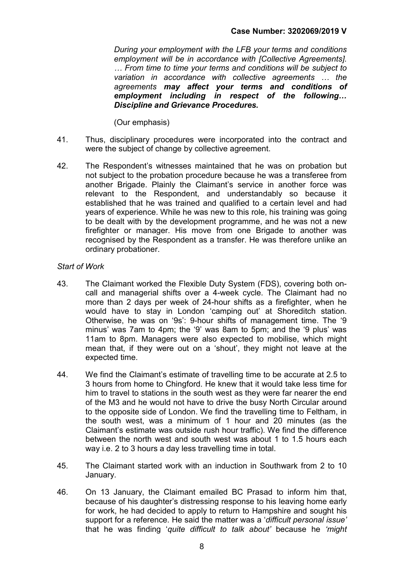During your employment with the LFB your terms and conditions employment will be in accordance with [Collective Agreements]. … From time to time your terms and conditions will be subject to variation in accordance with collective agreements … the agreements may affect your terms and conditions of employment including in respect of the following… Discipline and Grievance Procedures.

(Our emphasis)

- 41. Thus, disciplinary procedures were incorporated into the contract and were the subject of change by collective agreement.
- 42. The Respondent's witnesses maintained that he was on probation but not subject to the probation procedure because he was a transferee from another Brigade. Plainly the Claimant's service in another force was relevant to the Respondent, and understandably so because it established that he was trained and qualified to a certain level and had years of experience. While he was new to this role, his training was going to be dealt with by the development programme, and he was not a new firefighter or manager. His move from one Brigade to another was recognised by the Respondent as a transfer. He was therefore unlike an ordinary probationer.

# Start of Work

- 43. The Claimant worked the Flexible Duty System (FDS), covering both oncall and managerial shifts over a 4-week cycle. The Claimant had no more than 2 days per week of 24-hour shifts as a firefighter, when he would have to stay in London 'camping out' at Shoreditch station. Otherwise, he was on '9s': 9-hour shifts of management time. The '9 minus' was 7am to 4pm; the '9' was 8am to 5pm; and the '9 plus' was 11am to 8pm. Managers were also expected to mobilise, which might mean that, if they were out on a 'shout', they might not leave at the expected time.
- 44. We find the Claimant's estimate of travelling time to be accurate at 2.5 to 3 hours from home to Chingford. He knew that it would take less time for him to travel to stations in the south west as they were far nearer the end of the M3 and he would not have to drive the busy North Circular around to the opposite side of London. We find the travelling time to Feltham, in the south west, was a minimum of 1 hour and 20 minutes (as the Claimant's estimate was outside rush hour traffic). We find the difference between the north west and south west was about 1 to 1.5 hours each way i.e. 2 to 3 hours a day less travelling time in total.
- 45. The Claimant started work with an induction in Southwark from 2 to 10 January.
- 46. On 13 January, the Claimant emailed BC Prasad to inform him that, because of his daughter's distressing response to his leaving home early for work, he had decided to apply to return to Hampshire and sought his support for a reference. He said the matter was a 'difficult personal issue' that he was finding 'quite difficult to talk about' because he 'might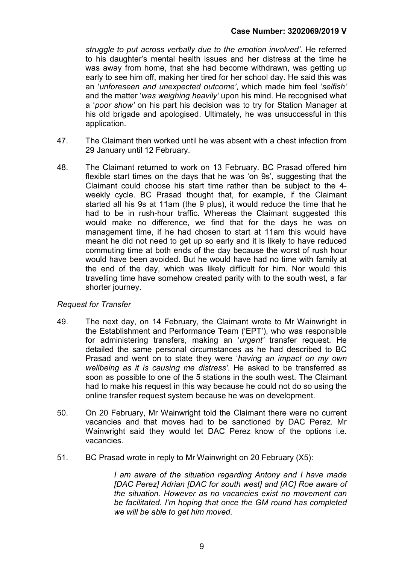struggle to put across verbally due to the emotion involved'. He referred to his daughter's mental health issues and her distress at the time he was away from home, that she had become withdrawn, was getting up early to see him off, making her tired for her school day. He said this was an 'unforeseen and unexpected outcome', which made him feel 'selfish' and the matter 'was weighing heavily' upon his mind. He recognised what a 'poor show' on his part his decision was to try for Station Manager at his old brigade and apologised. Ultimately, he was unsuccessful in this application.

- 47. The Claimant then worked until he was absent with a chest infection from 29 January until 12 February.
- 48. The Claimant returned to work on 13 February. BC Prasad offered him flexible start times on the days that he was 'on 9s', suggesting that the Claimant could choose his start time rather than be subject to the 4 weekly cycle. BC Prasad thought that, for example, if the Claimant started all his 9s at 11am (the 9 plus), it would reduce the time that he had to be in rush-hour traffic. Whereas the Claimant suggested this would make no difference, we find that for the days he was on management time, if he had chosen to start at 11am this would have meant he did not need to get up so early and it is likely to have reduced commuting time at both ends of the day because the worst of rush hour would have been avoided. But he would have had no time with family at the end of the day, which was likely difficult for him. Nor would this travelling time have somehow created parity with to the south west, a far shorter journey.

# Request for Transfer

- 49. The next day, on 14 February, the Claimant wrote to Mr Wainwright in the Establishment and Performance Team ('EPT'), who was responsible for administering transfers, making an 'urgent' transfer request. He detailed the same personal circumstances as he had described to BC Prasad and went on to state they were 'having an impact on my own wellbeing as it is causing me distress'. He asked to be transferred as soon as possible to one of the 5 stations in the south west. The Claimant had to make his request in this way because he could not do so using the online transfer request system because he was on development.
- 50. On 20 February, Mr Wainwright told the Claimant there were no current vacancies and that moves had to be sanctioned by DAC Perez. Mr Wainwright said they would let DAC Perez know of the options i.e. vacancies.
- 51. BC Prasad wrote in reply to Mr Wainwright on 20 February (X5):

I am aware of the situation regarding Antony and I have made [DAC Perez] Adrian [DAC for south west] and [AC] Roe aware of the situation. However as no vacancies exist no movement can be facilitated. I'm hoping that once the GM round has completed we will be able to get him moved.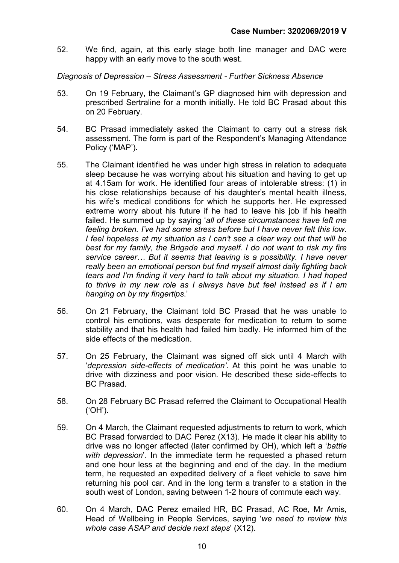52. We find, again, at this early stage both line manager and DAC were happy with an early move to the south west.

#### Diagnosis of Depression – Stress Assessment - Further Sickness Absence

- 53. On 19 February, the Claimant's GP diagnosed him with depression and prescribed Sertraline for a month initially. He told BC Prasad about this on 20 February.
- 54. BC Prasad immediately asked the Claimant to carry out a stress risk assessment. The form is part of the Respondent's Managing Attendance Policy ('MAP').
- 55. The Claimant identified he was under high stress in relation to adequate sleep because he was worrying about his situation and having to get up at 4.15am for work. He identified four areas of intolerable stress: (1) in his close relationships because of his daughter's mental health illness, his wife's medical conditions for which he supports her. He expressed extreme worry about his future if he had to leave his job if his health failed. He summed up by saying 'all of these circumstances have left me feeling broken. I've had some stress before but I have never felt this low. I feel hopeless at my situation as I can't see a clear way out that will be best for my family, the Brigade and myself. I do not want to risk my fire service career… But it seems that leaving is a possibility. I have never really been an emotional person but find myself almost daily fighting back tears and I'm finding it very hard to talk about my situation. I had hoped to thrive in my new role as I always have but feel instead as if I am hanging on by my fingertips.'
- 56. On 21 February, the Claimant told BC Prasad that he was unable to control his emotions, was desperate for medication to return to some stability and that his health had failed him badly. He informed him of the side effects of the medication.
- 57. On 25 February, the Claimant was signed off sick until 4 March with 'depression side-effects of medication'. At this point he was unable to drive with dizziness and poor vision. He described these side-effects to BC Prasad.
- 58. On 28 February BC Prasad referred the Claimant to Occupational Health ('OH').
- 59. On 4 March, the Claimant requested adjustments to return to work, which BC Prasad forwarded to DAC Perez (X13). He made it clear his ability to drive was no longer affected (later confirmed by OH), which left a 'battle with depression'. In the immediate term he requested a phased return and one hour less at the beginning and end of the day. In the medium term, he requested an expedited delivery of a fleet vehicle to save him returning his pool car. And in the long term a transfer to a station in the south west of London, saving between 1-2 hours of commute each way.
- 60. On 4 March, DAC Perez emailed HR, BC Prasad, AC Roe, Mr Amis, Head of Wellbeing in People Services, saying 'we need to review this whole case ASAP and decide next steps' (X12).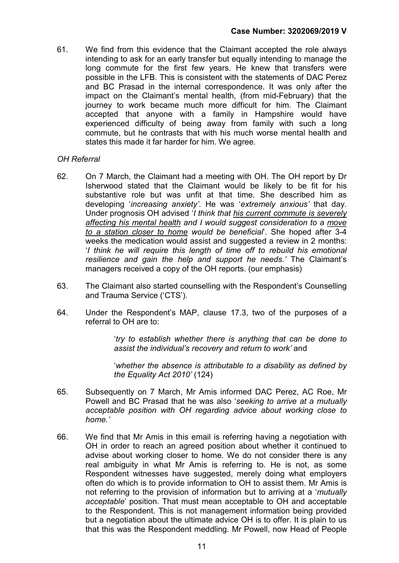61. We find from this evidence that the Claimant accepted the role always intending to ask for an early transfer but equally intending to manage the long commute for the first few years. He knew that transfers were possible in the LFB. This is consistent with the statements of DAC Perez and BC Prasad in the internal correspondence. It was only after the impact on the Claimant's mental health, (from mid-February) that the journey to work became much more difficult for him. The Claimant accepted that anyone with a family in Hampshire would have experienced difficulty of being away from family with such a long commute, but he contrasts that with his much worse mental health and states this made it far harder for him. We agree.

# OH Referral

- 62. On 7 March, the Claimant had a meeting with OH. The OH report by Dr Isherwood stated that the Claimant would be likely to be fit for his substantive role but was unfit at that time. She described him as developing 'increasing anxiety'. He was 'extremely anxious' that day. Under prognosis OH advised 'I think that his current commute is severely affecting his mental health and I would suggest consideration to a move to a station closer to home would be beneficial'. She hoped after 3-4 weeks the medication would assist and suggested a review in 2 months: 'I think he will require this length of time off to rebuild his emotional resilience and gain the help and support he needs.' The Claimant's managers received a copy of the OH reports. (our emphasis)
- 63. The Claimant also started counselling with the Respondent's Counselling and Trauma Service ('CTS').
- 64. Under the Respondent's MAP, clause 17.3, two of the purposes of a referral to OH are to:

'try to establish whether there is anything that can be done to assist the individual's recovery and return to work' and

'whether the absence is attributable to a disability as defined by the Equality Act 2010' (124)

- 65. Subsequently on 7 March, Mr Amis informed DAC Perez, AC Roe, Mr Powell and BC Prasad that he was also 'seeking to arrive at a mutually acceptable position with OH regarding advice about working close to home.'
- 66. We find that Mr Amis in this email is referring having a negotiation with OH in order to reach an agreed position about whether it continued to advise about working closer to home. We do not consider there is any real ambiguity in what Mr Amis is referring to. He is not, as some Respondent witnesses have suggested, merely doing what employers often do which is to provide information to OH to assist them. Mr Amis is not referring to the provision of information but to arriving at a 'mutually acceptable' position. That must mean acceptable to OH and acceptable to the Respondent. This is not management information being provided but a negotiation about the ultimate advice OH is to offer. It is plain to us that this was the Respondent meddling. Mr Powell, now Head of People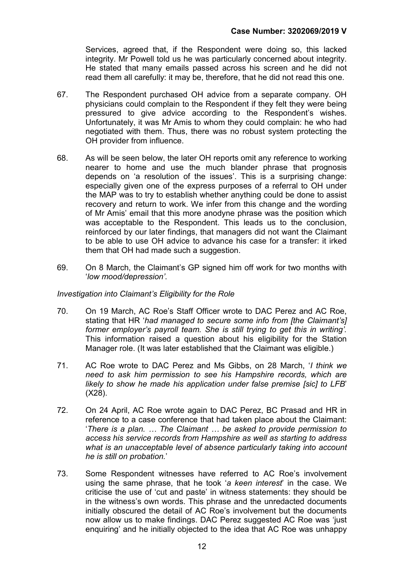Services, agreed that, if the Respondent were doing so, this lacked integrity. Mr Powell told us he was particularly concerned about integrity. He stated that many emails passed across his screen and he did not read them all carefully: it may be, therefore, that he did not read this one.

- 67. The Respondent purchased OH advice from a separate company. OH physicians could complain to the Respondent if they felt they were being pressured to give advice according to the Respondent's wishes. Unfortunately, it was Mr Amis to whom they could complain: he who had negotiated with them. Thus, there was no robust system protecting the OH provider from influence.
- 68. As will be seen below, the later OH reports omit any reference to working nearer to home and use the much blander phrase that prognosis depends on 'a resolution of the issues'. This is a surprising change: especially given one of the express purposes of a referral to OH under the MAP was to try to establish whether anything could be done to assist recovery and return to work. We infer from this change and the wording of Mr Amis' email that this more anodyne phrase was the position which was acceptable to the Respondent. This leads us to the conclusion, reinforced by our later findings, that managers did not want the Claimant to be able to use OH advice to advance his case for a transfer: it irked them that OH had made such a suggestion.
- 69. On 8 March, the Claimant's GP signed him off work for two months with 'low mood/depression'.

#### Investigation into Claimant's Eligibility for the Role

- 70. On 19 March, AC Roe's Staff Officer wrote to DAC Perez and AC Roe, stating that HR 'had managed to secure some info from *Ithe Claimant'sl* former employer's payroll team. She is still trying to get this in writing. This information raised a question about his eligibility for the Station Manager role. (It was later established that the Claimant was eligible.)
- 71. AC Roe wrote to DAC Perez and Ms Gibbs, on 28 March, 'I think we need to ask him permission to see his Hampshire records, which are likely to show he made his application under false premise [sic] to LFB' (X28).
- 72. On 24 April, AC Roe wrote again to DAC Perez, BC Prasad and HR in reference to a case conference that had taken place about the Claimant: 'There is a plan. … The Claimant … be asked to provide permission to access his service records from Hampshire as well as starting to address what is an unacceptable level of absence particularly taking into account he is still on probation.'
- 73. Some Respondent witnesses have referred to AC Roe's involvement using the same phrase, that he took 'a keen interest' in the case. We criticise the use of 'cut and paste' in witness statements: they should be in the witness's own words. This phrase and the unredacted documents initially obscured the detail of AC Roe's involvement but the documents now allow us to make findings. DAC Perez suggested AC Roe was 'just enquiring' and he initially objected to the idea that AC Roe was unhappy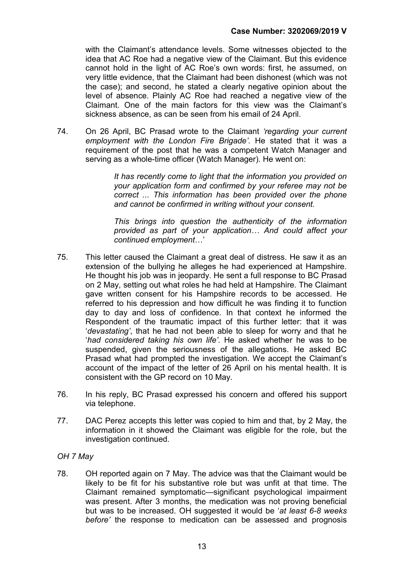with the Claimant's attendance levels. Some witnesses objected to the idea that AC Roe had a negative view of the Claimant. But this evidence cannot hold in the light of AC Roe's own words: first, he assumed, on very little evidence, that the Claimant had been dishonest (which was not the case); and second, he stated a clearly negative opinion about the level of absence. Plainly AC Roe had reached a negative view of the Claimant. One of the main factors for this view was the Claimant's sickness absence, as can be seen from his email of 24 April.

74. On 26 April, BC Prasad wrote to the Claimant 'regarding your current employment with the London Fire Brigade'. He stated that it was a requirement of the post that he was a competent Watch Manager and serving as a whole-time officer (Watch Manager). He went on:

> It has recently come to light that the information you provided on your application form and confirmed by your referee may not be correct ... This information has been provided over the phone and cannot be confirmed in writing without your consent.

> This brings into question the authenticity of the information provided as part of your application… And could affect your continued employment…'

- 75. This letter caused the Claimant a great deal of distress. He saw it as an extension of the bullying he alleges he had experienced at Hampshire. He thought his job was in jeopardy. He sent a full response to BC Prasad on 2 May, setting out what roles he had held at Hampshire. The Claimant gave written consent for his Hampshire records to be accessed. He referred to his depression and how difficult he was finding it to function day to day and loss of confidence. In that context he informed the Respondent of the traumatic impact of this further letter: that it was 'devastating', that he had not been able to sleep for worry and that he 'had considered taking his own life'. He asked whether he was to be suspended, given the seriousness of the allegations. He asked BC Prasad what had prompted the investigation. We accept the Claimant's account of the impact of the letter of 26 April on his mental health. It is consistent with the GP record on 10 May.
- 76. In his reply, BC Prasad expressed his concern and offered his support via telephone.
- 77. DAC Perez accepts this letter was copied to him and that, by 2 May, the information in it showed the Claimant was eligible for the role, but the investigation continued.

#### OH 7 May

78. OH reported again on 7 May. The advice was that the Claimant would be likely to be fit for his substantive role but was unfit at that time. The Claimant remained symptomatic—significant psychological impairment was present. After 3 months, the medication was not proving beneficial but was to be increased. OH suggested it would be 'at least 6-8 weeks before' the response to medication can be assessed and prognosis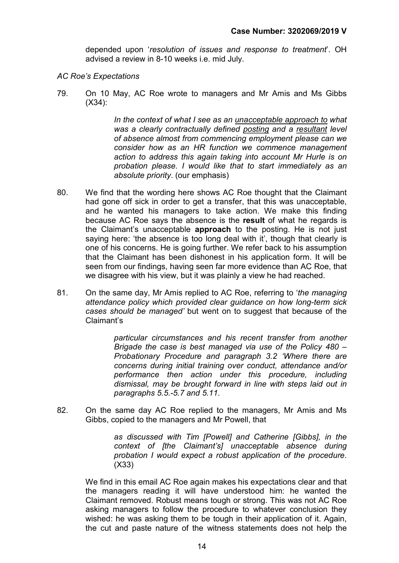depended upon 'resolution of issues and response to treatment'. OH advised a review in 8-10 weeks i.e. mid July.

- AC Roe's Expectations
- 79. On 10 May, AC Roe wrote to managers and Mr Amis and Ms Gibbs (X34):

In the context of what I see as an unacceptable approach to what was a clearly contractually defined posting and a resultant level of absence almost from commencing employment please can we consider how as an HR function we commence management action to address this again taking into account Mr Hurle is on probation please. I would like that to start immediately as an absolute priority. (our emphasis)

- 80. We find that the wording here shows AC Roe thought that the Claimant had gone off sick in order to get a transfer, that this was unacceptable, and he wanted his managers to take action. We make this finding because AC Roe says the absence is the result of what he regards is the Claimant's unacceptable approach to the posting. He is not just saying here: 'the absence is too long deal with it', though that clearly is one of his concerns. He is going further. We refer back to his assumption that the Claimant has been dishonest in his application form. It will be seen from our findings, having seen far more evidence than AC Roe, that we disagree with his view, but it was plainly a view he had reached.
- 81. On the same day, Mr Amis replied to AC Roe, referring to 'the managing' attendance policy which provided clear guidance on how long-term sick cases should be managed' but went on to suggest that because of the Claimant's

particular circumstances and his recent transfer from another Brigade the case is best managed via use of the Policy 480 – Probationary Procedure and paragraph 3.2 'Where there are concerns during initial training over conduct, attendance and/or performance then action under this procedure, including dismissal, may be brought forward in line with steps laid out in paragraphs 5.5.-5.7 and 5.11.

82. On the same day AC Roe replied to the managers, Mr Amis and Ms Gibbs, copied to the managers and Mr Powell, that

> as discussed with Tim [Powell] and Catherine [Gibbs], in the context of [the Claimant's] unacceptable absence during probation I would expect a robust application of the procedure. (X33)

We find in this email AC Roe again makes his expectations clear and that the managers reading it will have understood him: he wanted the Claimant removed. Robust means tough or strong. This was not AC Roe asking managers to follow the procedure to whatever conclusion they wished: he was asking them to be tough in their application of it. Again, the cut and paste nature of the witness statements does not help the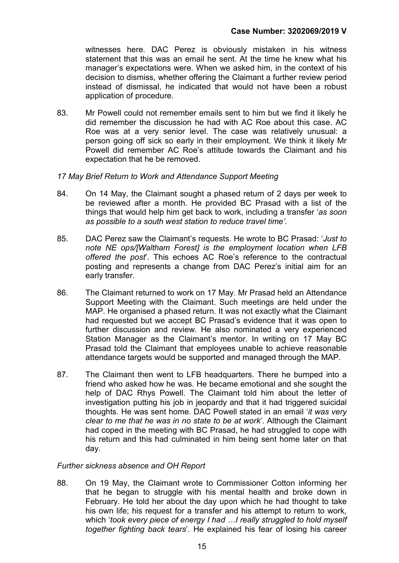witnesses here. DAC Perez is obviously mistaken in his witness statement that this was an email he sent. At the time he knew what his manager's expectations were. When we asked him, in the context of his decision to dismiss, whether offering the Claimant a further review period instead of dismissal, he indicated that would not have been a robust application of procedure.

83. Mr Powell could not remember emails sent to him but we find it likely he did remember the discussion he had with AC Roe about this case. AC Roe was at a very senior level. The case was relatively unusual: a person going off sick so early in their employment. We think it likely Mr Powell did remember AC Roe's attitude towards the Claimant and his expectation that he be removed.

#### 17 May Brief Return to Work and Attendance Support Meeting

- 84. On 14 May, the Claimant sought a phased return of 2 days per week to be reviewed after a month. He provided BC Prasad with a list of the things that would help him get back to work, including a transfer 'as soon as possible to a south west station to reduce travel time'.
- 85. DAC Perez saw the Claimant's requests. He wrote to BC Prasad: 'Just to note NE ops/[Waltham Forest] is the employment location when LFB offered the post'. This echoes AC Roe's reference to the contractual posting and represents a change from DAC Perez's initial aim for an early transfer.
- 86. The Claimant returned to work on 17 May. Mr Prasad held an Attendance Support Meeting with the Claimant. Such meetings are held under the MAP. He organised a phased return. It was not exactly what the Claimant had requested but we accept BC Prasad's evidence that it was open to further discussion and review. He also nominated a very experienced Station Manager as the Claimant's mentor. In writing on 17 May BC Prasad told the Claimant that employees unable to achieve reasonable attendance targets would be supported and managed through the MAP.
- 87. The Claimant then went to LFB headquarters. There he bumped into a friend who asked how he was. He became emotional and she sought the help of DAC Rhys Powell. The Claimant told him about the letter of investigation putting his job in jeopardy and that it had triggered suicidal thoughts. He was sent home. DAC Powell stated in an email 'it was very clear to me that he was in no state to be at work'. Although the Claimant had coped in the meeting with BC Prasad, he had struggled to cope with his return and this had culminated in him being sent home later on that day.

#### Further sickness absence and OH Report

88. On 19 May, the Claimant wrote to Commissioner Cotton informing her that he began to struggle with his mental health and broke down in February. He told her about the day upon which he had thought to take his own life; his request for a transfer and his attempt to return to work, which 'took every piece of energy I had ...I really struggled to hold myself together fighting back tears'. He explained his fear of losing his career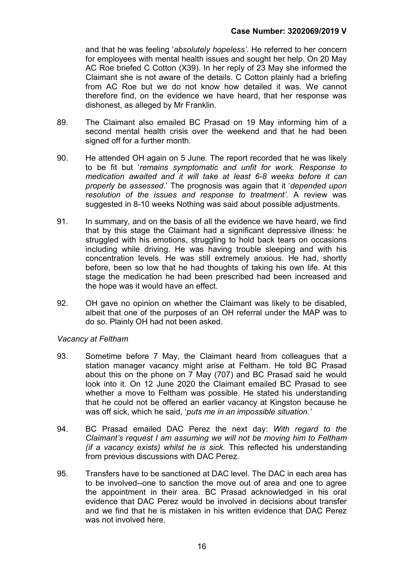and that he was feeling 'absolutely hopeless'. He referred to her concern for employees with mental health issues and sought her help. On 20 May AC Roe briefed C Cotton (X39). In her reply of 23 May she informed the Claimant she is not aware of the details. C Cotton plainly had a briefing from AC Roe but we do not know how detailed it was. We cannot therefore find, on the evidence we have heard, that her response was dishonest, as alleged by Mr Franklin.

- 89. The Claimant also emailed BC Prasad on 19 May informing him of a second mental health crisis over the weekend and that he had been signed off for a further month.
- 90. He attended OH again on 5 June. The report recorded that he was likely to be fit but 'remains symptomatic and unfit for work. Response to medication awaited and it will take at least 6-8 weeks before it can properly be assessed.' The prognosis was again that it 'depended upon resolution of the issues and response to treatment'. A review was suggested in 8-10 weeks Nothing was said about possible adjustments.
- 91. In summary, and on the basis of all the evidence we have heard, we find that by this stage the Claimant had a significant depressive illness: he struggled with his emotions, struggling to hold back tears on occasions including while driving. He was having trouble sleeping and with his concentration levels. He was still extremely anxious. He had, shortly before, been so low that he had thoughts of taking his own life. At this stage the medication he had been prescribed had been increased and the hope was it would have an effect.
- 92. OH gave no opinion on whether the Claimant was likely to be disabled, albeit that one of the purposes of an OH referral under the MAP was to do so. Plainly OH had not been asked.

#### Vacancy at Feltham

- 93. Sometime before 7 May, the Claimant heard from colleagues that a station manager vacancy might arise at Feltham. He told BC Prasad about this on the phone on 7 May (707) and BC Prasad said he would look into it. On 12 June 2020 the Claimant emailed BC Prasad to see whether a move to Feltham was possible. He stated his understanding that he could not be offered an earlier vacancy at Kingston because he was off sick, which he said, 'puts me in an impossible situation.'
- 94. BC Prasad emailed DAC Perez the next day: With regard to the Claimant's request I am assuming we will not be moving him to Feltham (if a vacancy exists) whilst he is sick. This reflected his understanding from previous discussions with DAC Perez.
- 95. Transfers have to be sanctioned at DAC level. The DAC in each area has to be involved--one to sanction the move out of area and one to agree the appointment in their area. BC Prasad acknowledged in his oral evidence that DAC Perez would be involved in decisions about transfer and we find that he is mistaken in his written evidence that DAC Perez was not involved here.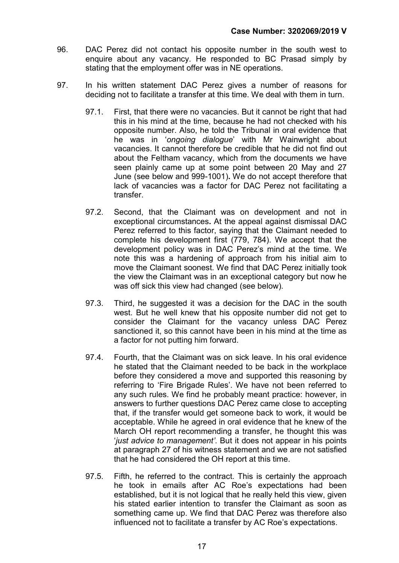- 96. DAC Perez did not contact his opposite number in the south west to enquire about any vacancy. He responded to BC Prasad simply by stating that the employment offer was in NE operations.
- 97. In his written statement DAC Perez gives a number of reasons for deciding not to facilitate a transfer at this time. We deal with them in turn.
	- 97.1. First, that there were no vacancies. But it cannot be right that had this in his mind at the time, because he had not checked with his opposite number. Also, he told the Tribunal in oral evidence that he was in 'ongoing dialogue' with Mr Wainwright about vacancies. It cannot therefore be credible that he did not find out about the Feltham vacancy, which from the documents we have seen plainly came up at some point between 20 May and 27 June (see below and 999-1001). We do not accept therefore that lack of vacancies was a factor for DAC Perez not facilitating a transfer.
	- 97.2. Second, that the Claimant was on development and not in exceptional circumstances. At the appeal against dismissal DAC Perez referred to this factor, saying that the Claimant needed to complete his development first (779, 784). We accept that the development policy was in DAC Perez's mind at the time. We note this was a hardening of approach from his initial aim to move the Claimant soonest. We find that DAC Perez initially took the view the Claimant was in an exceptional category but now he was off sick this view had changed (see below).
	- 97.3. Third, he suggested it was a decision for the DAC in the south west. But he well knew that his opposite number did not get to consider the Claimant for the vacancy unless DAC Perez sanctioned it, so this cannot have been in his mind at the time as a factor for not putting him forward.
	- 97.4. Fourth, that the Claimant was on sick leave. In his oral evidence he stated that the Claimant needed to be back in the workplace before they considered a move and supported this reasoning by referring to 'Fire Brigade Rules'. We have not been referred to any such rules. We find he probably meant practice: however, in answers to further questions DAC Perez came close to accepting that, if the transfer would get someone back to work, it would be acceptable. While he agreed in oral evidence that he knew of the March OH report recommending a transfer, he thought this was 'just advice to management'. But it does not appear in his points at paragraph 27 of his witness statement and we are not satisfied that he had considered the OH report at this time.
	- 97.5. Fifth, he referred to the contract. This is certainly the approach he took in emails after AC Roe's expectations had been established, but it is not logical that he really held this view, given his stated earlier intention to transfer the Claimant as soon as something came up. We find that DAC Perez was therefore also influenced not to facilitate a transfer by AC Roe's expectations.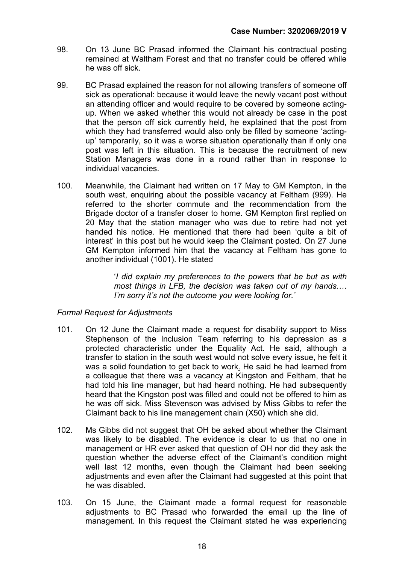- 98. On 13 June BC Prasad informed the Claimant his contractual posting remained at Waltham Forest and that no transfer could be offered while he was off sick.
- 99. BC Prasad explained the reason for not allowing transfers of someone off sick as operational: because it would leave the newly vacant post without an attending officer and would require to be covered by someone actingup. When we asked whether this would not already be case in the post that the person off sick currently held, he explained that the post from which they had transferred would also only be filled by someone 'actingup' temporarily, so it was a worse situation operationally than if only one post was left in this situation. This is because the recruitment of new Station Managers was done in a round rather than in response to individual vacancies.
- 100. Meanwhile, the Claimant had written on 17 May to GM Kempton, in the south west, enquiring about the possible vacancy at Feltham (999). He referred to the shorter commute and the recommendation from the Brigade doctor of a transfer closer to home. GM Kempton first replied on 20 May that the station manager who was due to retire had not yet handed his notice. He mentioned that there had been 'quite a bit of interest' in this post but he would keep the Claimant posted. On 27 June GM Kempton informed him that the vacancy at Feltham has gone to another individual (1001). He stated

'I did explain my preferences to the powers that be but as with most things in LFB, the decision was taken out of my hands.… I'm sorry it's not the outcome you were looking for.'

# Formal Request for Adjustments

- 101. On 12 June the Claimant made a request for disability support to Miss Stephenson of the Inclusion Team referring to his depression as a protected characteristic under the Equality Act. He said, although a transfer to station in the south west would not solve every issue, he felt it was a solid foundation to get back to work. He said he had learned from a colleague that there was a vacancy at Kingston and Feltham, that he had told his line manager, but had heard nothing. He had subsequently heard that the Kingston post was filled and could not be offered to him as he was off sick. Miss Stevenson was advised by Miss Gibbs to refer the Claimant back to his line management chain (X50) which she did.
- 102. Ms Gibbs did not suggest that OH be asked about whether the Claimant was likely to be disabled. The evidence is clear to us that no one in management or HR ever asked that question of OH nor did they ask the question whether the adverse effect of the Claimant's condition might well last 12 months, even though the Claimant had been seeking adjustments and even after the Claimant had suggested at this point that he was disabled.
- 103. On 15 June, the Claimant made a formal request for reasonable adjustments to BC Prasad who forwarded the email up the line of management. In this request the Claimant stated he was experiencing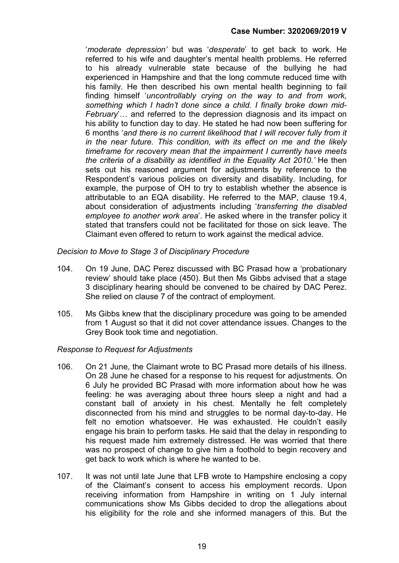'moderate depression' but was 'desperate' to get back to work. He referred to his wife and daughter's mental health problems. He referred to his already vulnerable state because of the bullying he had experienced in Hampshire and that the long commute reduced time with his family. He then described his own mental health beginning to fail finding himself 'uncontrollably crying on the way to and from work, something which I hadn't done since a child. I finally broke down mid-February'… and referred to the depression diagnosis and its impact on his ability to function day to day. He stated he had now been suffering for 6 months 'and there is no current likelihood that I will recover fully from it in the near future. This condition, with its effect on me and the likely timeframe for recovery mean that the impairment I currently have meets the criteria of a disability as identified in the Equality Act 2010.' He then sets out his reasoned argument for adjustments by reference to the Respondent's various policies on diversity and disability. Including, for example, the purpose of OH to try to establish whether the absence is attributable to an EQA disability. He referred to the MAP, clause 19.4, about consideration of adjustments including 'transferring the disabled employee to another work area'. He asked where in the transfer policy it stated that transfers could not be facilitated for those on sick leave. The Claimant even offered to return to work against the medical advice.

Decision to Move to Stage 3 of Disciplinary Procedure

- 104. On 19 June, DAC Perez discussed with BC Prasad how a 'probationary review' should take place (450). But then Ms Gibbs advised that a stage 3 disciplinary hearing should be convened to be chaired by DAC Perez. She relied on clause 7 of the contract of employment.
- 105. Ms Gibbs knew that the disciplinary procedure was going to be amended from 1 August so that it did not cover attendance issues. Changes to the Grey Book took time and negotiation.

# Response to Request for Adjustments

- 106. On 21 June, the Claimant wrote to BC Prasad more details of his illness. On 28 June he chased for a response to his request for adjustments. On 6 July he provided BC Prasad with more information about how he was feeling: he was averaging about three hours sleep a night and had a constant ball of anxiety in his chest. Mentally he felt completely disconnected from his mind and struggles to be normal day-to-day. He felt no emotion whatsoever. He was exhausted. He couldn't easily engage his brain to perform tasks. He said that the delay in responding to his request made him extremely distressed. He was worried that there was no prospect of change to give him a foothold to begin recovery and get back to work which is where he wanted to be.
- 107. It was not until late June that LFB wrote to Hampshire enclosing a copy of the Claimant's consent to access his employment records. Upon receiving information from Hampshire in writing on 1 July internal communications show Ms Gibbs decided to drop the allegations about his eligibility for the role and she informed managers of this. But the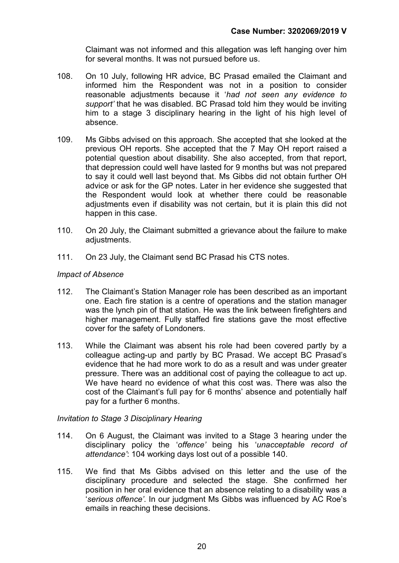Claimant was not informed and this allegation was left hanging over him for several months. It was not pursued before us.

- 108. On 10 July, following HR advice, BC Prasad emailed the Claimant and informed him the Respondent was not in a position to consider reasonable adjustments because it 'had not seen any evidence to support' that he was disabled. BC Prasad told him they would be inviting him to a stage 3 disciplinary hearing in the light of his high level of absence.
- 109. Ms Gibbs advised on this approach. She accepted that she looked at the previous OH reports. She accepted that the 7 May OH report raised a potential question about disability. She also accepted, from that report, that depression could well have lasted for 9 months but was not prepared to say it could well last beyond that. Ms Gibbs did not obtain further OH advice or ask for the GP notes. Later in her evidence she suggested that the Respondent would look at whether there could be reasonable adjustments even if disability was not certain, but it is plain this did not happen in this case.
- 110. On 20 July, the Claimant submitted a grievance about the failure to make adjustments.
- 111. On 23 July, the Claimant send BC Prasad his CTS notes.

# Impact of Absence

- 112. The Claimant's Station Manager role has been described as an important one. Each fire station is a centre of operations and the station manager was the lynch pin of that station. He was the link between firefighters and higher management. Fully staffed fire stations gave the most effective cover for the safety of Londoners.
- 113. While the Claimant was absent his role had been covered partly by a colleague acting-up and partly by BC Prasad. We accept BC Prasad's evidence that he had more work to do as a result and was under greater pressure. There was an additional cost of paying the colleague to act up. We have heard no evidence of what this cost was. There was also the cost of the Claimant's full pay for 6 months' absence and potentially half pay for a further 6 months.

#### Invitation to Stage 3 Disciplinary Hearing

- 114. On 6 August, the Claimant was invited to a Stage 3 hearing under the disciplinary policy the 'offence' being his 'unacceptable record of attendance': 104 working days lost out of a possible 140.
- 115. We find that Ms Gibbs advised on this letter and the use of the disciplinary procedure and selected the stage. She confirmed her position in her oral evidence that an absence relating to a disability was a 'serious offence'. In our judgment Ms Gibbs was influenced by AC Roe's emails in reaching these decisions.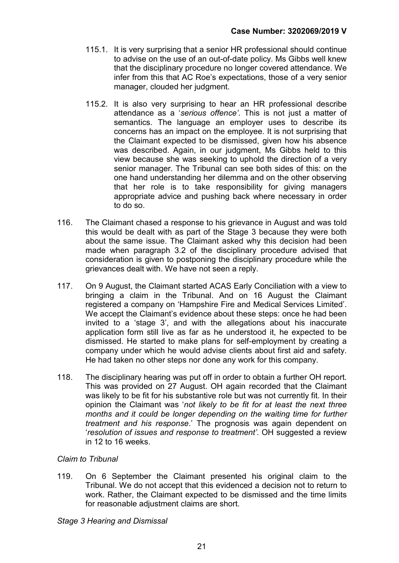- 115.1. It is very surprising that a senior HR professional should continue to advise on the use of an out-of-date policy. Ms Gibbs well knew that the disciplinary procedure no longer covered attendance. We infer from this that AC Roe's expectations, those of a very senior manager, clouded her judgment.
- 115.2. It is also very surprising to hear an HR professional describe attendance as a 'serious offence'. This is not just a matter of semantics. The language an employer uses to describe its concerns has an impact on the employee. It is not surprising that the Claimant expected to be dismissed, given how his absence was described. Again, in our judgment, Ms Gibbs held to this view because she was seeking to uphold the direction of a very senior manager. The Tribunal can see both sides of this: on the one hand understanding her dilemma and on the other observing that her role is to take responsibility for giving managers appropriate advice and pushing back where necessary in order to do so.
- 116. The Claimant chased a response to his grievance in August and was told this would be dealt with as part of the Stage 3 because they were both about the same issue. The Claimant asked why this decision had been made when paragraph 3.2 of the disciplinary procedure advised that consideration is given to postponing the disciplinary procedure while the grievances dealt with. We have not seen a reply.
- 117. On 9 August, the Claimant started ACAS Early Conciliation with a view to bringing a claim in the Tribunal. And on 16 August the Claimant registered a company on 'Hampshire Fire and Medical Services Limited'. We accept the Claimant's evidence about these steps: once he had been invited to a 'stage 3', and with the allegations about his inaccurate application form still live as far as he understood it, he expected to be dismissed. He started to make plans for self-employment by creating a company under which he would advise clients about first aid and safety. He had taken no other steps nor done any work for this company.
- 118. The disciplinary hearing was put off in order to obtain a further OH report. This was provided on 27 August. OH again recorded that the Claimant was likely to be fit for his substantive role but was not currently fit. In their opinion the Claimant was 'not likely to be fit for at least the next three months and it could be longer depending on the waiting time for further treatment and his response.' The prognosis was again dependent on 'resolution of issues and response to treatment'. OH suggested a review in 12 to 16 weeks.

# Claim to Tribunal

119. On 6 September the Claimant presented his original claim to the Tribunal. We do not accept that this evidenced a decision not to return to work. Rather, the Claimant expected to be dismissed and the time limits for reasonable adjustment claims are short.

#### Stage 3 Hearing and Dismissal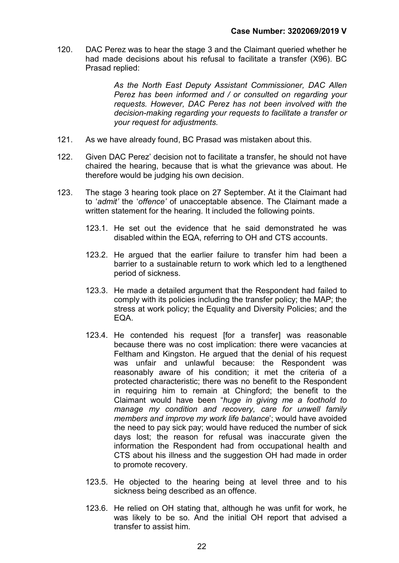120. DAC Perez was to hear the stage 3 and the Claimant queried whether he had made decisions about his refusal to facilitate a transfer (X96). BC Prasad replied:

> As the North East Deputy Assistant Commissioner, DAC Allen Perez has been informed and / or consulted on regarding your requests. However, DAC Perez has not been involved with the decision-making regarding your requests to facilitate a transfer or your request for adjustments.

- 121. As we have already found, BC Prasad was mistaken about this.
- 122. Given DAC Perez' decision not to facilitate a transfer, he should not have chaired the hearing, because that is what the grievance was about. He therefore would be judging his own decision.
- 123. The stage 3 hearing took place on 27 September. At it the Claimant had to 'admit' the 'offence' of unacceptable absence. The Claimant made a written statement for the hearing. It included the following points.
	- 123.1. He set out the evidence that he said demonstrated he was disabled within the EQA, referring to OH and CTS accounts.
	- 123.2. He argued that the earlier failure to transfer him had been a barrier to a sustainable return to work which led to a lengthened period of sickness.
	- 123.3. He made a detailed argument that the Respondent had failed to comply with its policies including the transfer policy; the MAP; the stress at work policy; the Equality and Diversity Policies; and the EQA.
	- 123.4. He contended his request [for a transfer] was reasonable because there was no cost implication: there were vacancies at Feltham and Kingston. He argued that the denial of his request was unfair and unlawful because: the Respondent was reasonably aware of his condition; it met the criteria of a protected characteristic; there was no benefit to the Respondent in requiring him to remain at Chingford; the benefit to the Claimant would have been "huge in giving me a foothold to manage my condition and recovery, care for unwell family members and improve my work life balance'; would have avoided the need to pay sick pay; would have reduced the number of sick days lost; the reason for refusal was inaccurate given the information the Respondent had from occupational health and CTS about his illness and the suggestion OH had made in order to promote recovery.
	- 123.5. He objected to the hearing being at level three and to his sickness being described as an offence.
	- 123.6. He relied on OH stating that, although he was unfit for work, he was likely to be so. And the initial OH report that advised a transfer to assist him.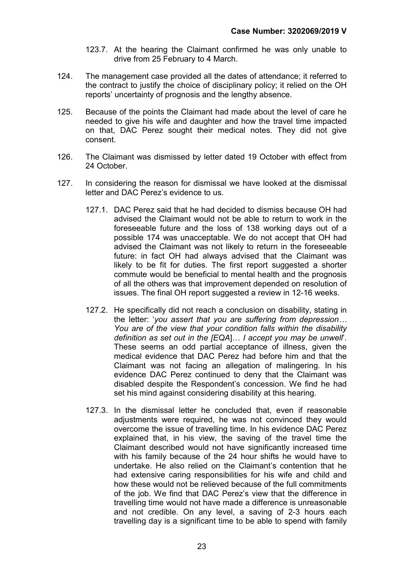- 123.7. At the hearing the Claimant confirmed he was only unable to drive from 25 February to 4 March.
- 124. The management case provided all the dates of attendance; it referred to the contract to justify the choice of disciplinary policy; it relied on the OH reports' uncertainty of prognosis and the lengthy absence.
- 125. Because of the points the Claimant had made about the level of care he needed to give his wife and daughter and how the travel time impacted on that, DAC Perez sought their medical notes. They did not give consent.
- 126. The Claimant was dismissed by letter dated 19 October with effect from 24 October.
- 127. In considering the reason for dismissal we have looked at the dismissal letter and DAC Perez's evidence to us.
	- 127.1. DAC Perez said that he had decided to dismiss because OH had advised the Claimant would not be able to return to work in the foreseeable future and the loss of 138 working days out of a possible 174 was unacceptable. We do not accept that OH had advised the Claimant was not likely to return in the foreseeable future: in fact OH had always advised that the Claimant was likely to be fit for duties. The first report suggested a shorter commute would be beneficial to mental health and the prognosis of all the others was that improvement depended on resolution of issues. The final OH report suggested a review in 12-16 weeks.
	- 127.2. He specifically did not reach a conclusion on disability, stating in the letter: 'you assert that you are suffering from depression… You are of the view that your condition falls within the disability definition as set out in the [EQA]… I accept you may be unwell'. These seems an odd partial acceptance of illness, given the medical evidence that DAC Perez had before him and that the Claimant was not facing an allegation of malingering. In his evidence DAC Perez continued to deny that the Claimant was disabled despite the Respondent's concession. We find he had set his mind against considering disability at this hearing.
	- 127.3. In the dismissal letter he concluded that, even if reasonable adjustments were required, he was not convinced they would overcome the issue of travelling time. In his evidence DAC Perez explained that, in his view, the saving of the travel time the Claimant described would not have significantly increased time with his family because of the 24 hour shifts he would have to undertake. He also relied on the Claimant's contention that he had extensive caring responsibilities for his wife and child and how these would not be relieved because of the full commitments of the job. We find that DAC Perez's view that the difference in travelling time would not have made a difference is unreasonable and not credible. On any level, a saving of 2-3 hours each travelling day is a significant time to be able to spend with family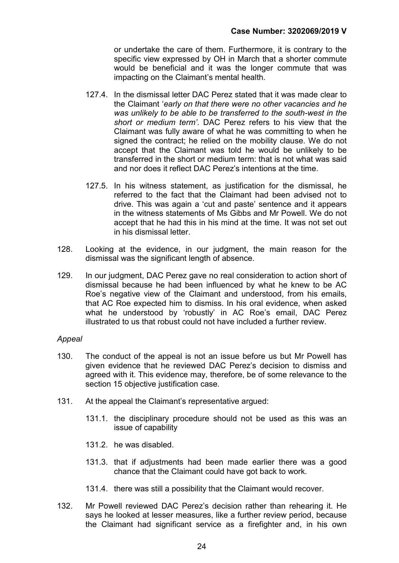or undertake the care of them. Furthermore, it is contrary to the specific view expressed by OH in March that a shorter commute would be beneficial and it was the longer commute that was impacting on the Claimant's mental health.

- 127.4. In the dismissal letter DAC Perez stated that it was made clear to the Claimant 'early on that there were no other vacancies and he was unlikely to be able to be transferred to the south-west in the short or medium term'. DAC Perez refers to his view that the Claimant was fully aware of what he was committing to when he signed the contract; he relied on the mobility clause. We do not accept that the Claimant was told he would be unlikely to be transferred in the short or medium term: that is not what was said and nor does it reflect DAC Perez's intentions at the time.
- 127.5. In his witness statement, as justification for the dismissal, he referred to the fact that the Claimant had been advised not to drive. This was again a 'cut and paste' sentence and it appears in the witness statements of Ms Gibbs and Mr Powell. We do not accept that he had this in his mind at the time. It was not set out in his dismissal letter.
- 128. Looking at the evidence, in our judgment, the main reason for the dismissal was the significant length of absence.
- 129. In our judgment, DAC Perez gave no real consideration to action short of dismissal because he had been influenced by what he knew to be AC Roe's negative view of the Claimant and understood, from his emails, that AC Roe expected him to dismiss. In his oral evidence, when asked what he understood by 'robustly' in AC Roe's email, DAC Perez illustrated to us that robust could not have included a further review.

#### Appeal

- 130. The conduct of the appeal is not an issue before us but Mr Powell has given evidence that he reviewed DAC Perez's decision to dismiss and agreed with it. This evidence may, therefore, be of some relevance to the section 15 objective justification case.
- 131. At the appeal the Claimant's representative argued:
	- 131.1. the disciplinary procedure should not be used as this was an issue of capability
	- 131.2 he was disabled.
	- 131.3. that if adjustments had been made earlier there was a good chance that the Claimant could have got back to work.
	- 131.4. there was still a possibility that the Claimant would recover.
- 132. Mr Powell reviewed DAC Perez's decision rather than rehearing it. He says he looked at lesser measures, like a further review period, because the Claimant had significant service as a firefighter and, in his own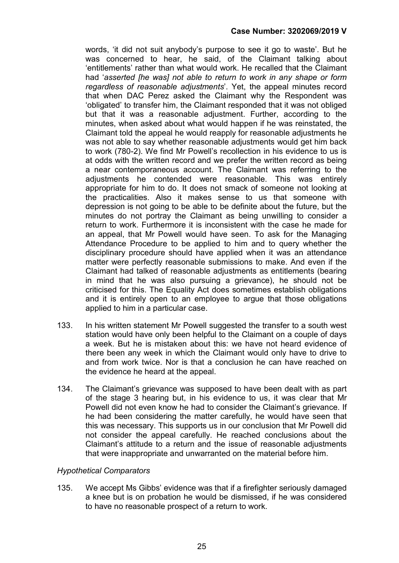words, 'it did not suit anybody's purpose to see it go to waste'. But he was concerned to hear, he said, of the Claimant talking about 'entitlements' rather than what would work. He recalled that the Claimant had 'asserted [he was] not able to return to work in any shape or form regardless of reasonable adjustments'. Yet, the appeal minutes record that when DAC Perez asked the Claimant why the Respondent was 'obligated' to transfer him, the Claimant responded that it was not obliged but that it was a reasonable adjustment. Further, according to the minutes, when asked about what would happen if he was reinstated, the Claimant told the appeal he would reapply for reasonable adjustments he was not able to say whether reasonable adjustments would get him back to work (780-2). We find Mr Powell's recollection in his evidence to us is at odds with the written record and we prefer the written record as being a near contemporaneous account. The Claimant was referring to the adjustments he contended were reasonable. This was entirely appropriate for him to do. It does not smack of someone not looking at the practicalities. Also it makes sense to us that someone with depression is not going to be able to be definite about the future, but the minutes do not portray the Claimant as being unwilling to consider a return to work. Furthermore it is inconsistent with the case he made for an appeal, that Mr Powell would have seen. To ask for the Managing Attendance Procedure to be applied to him and to query whether the disciplinary procedure should have applied when it was an attendance matter were perfectly reasonable submissions to make. And even if the Claimant had talked of reasonable adjustments as entitlements (bearing in mind that he was also pursuing a grievance), he should not be criticised for this. The Equality Act does sometimes establish obligations and it is entirely open to an employee to argue that those obligations applied to him in a particular case.

- 133. In his written statement Mr Powell suggested the transfer to a south west station would have only been helpful to the Claimant on a couple of days a week. But he is mistaken about this: we have not heard evidence of there been any week in which the Claimant would only have to drive to and from work twice. Nor is that a conclusion he can have reached on the evidence he heard at the appeal.
- 134. The Claimant's grievance was supposed to have been dealt with as part of the stage 3 hearing but, in his evidence to us, it was clear that Mr Powell did not even know he had to consider the Claimant's grievance. If he had been considering the matter carefully, he would have seen that this was necessary. This supports us in our conclusion that Mr Powell did not consider the appeal carefully. He reached conclusions about the Claimant's attitude to a return and the issue of reasonable adjustments that were inappropriate and unwarranted on the material before him.

#### Hypothetical Comparators

135. We accept Ms Gibbs' evidence was that if a firefighter seriously damaged a knee but is on probation he would be dismissed, if he was considered to have no reasonable prospect of a return to work.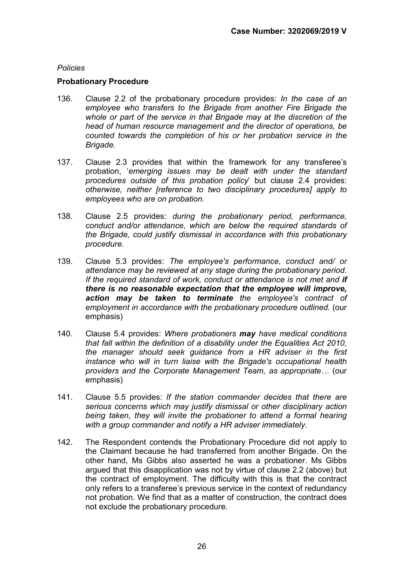#### Policies

#### Probationary Procedure

- 136. Clause 2.2 of the probationary procedure provides: In the case of an employee who transfers to the Brigade from another Fire Brigade the whole or part of the service in that Brigade may at the discretion of the head of human resource management and the director of operations, be counted towards the completion of his or her probation service in the Brigade.
- 137. Clause 2.3 provides that within the framework for any transferee's probation, 'emerging issues may be dealt with under the standard procedures outside of this probation policy' but clause 2.4 provides: otherwise, neither [reference to two disciplinary procedures] apply to employees who are on probation.
- 138. Clause 2.5 provides: during the probationary period, performance, conduct and/or attendance, which are below the required standards of the Brigade, could justify dismissal in accordance with this probationary procedure.
- 139. Clause 5.3 provides: The employee's performance, conduct and/ or attendance may be reviewed at any stage during the probationary period. If the required standard of work, conduct or attendance is not met and if there is no reasonable expectation that the employee will improve, action may be taken to terminate the employee's contract of employment in accordance with the probationary procedure outlined. (our emphasis)
- 140. Clause 5.4 provides: Where probationers may have medical conditions that fall within the definition of a disability under the Equalities Act 2010, the manager should seek guidance from a HR adviser in the first instance who will in turn liaise with the Brigade's occupational health providers and the Corporate Management Team, as appropriate… (our emphasis)
- 141. Clause 5.5 provides: If the station commander decides that there are serious concerns which may justify dismissal or other disciplinary action being taken, they will invite the probationer to attend a formal hearing with a group commander and notify a HR adviser immediately.
- 142. The Respondent contends the Probationary Procedure did not apply to the Claimant because he had transferred from another Brigade. On the other hand, Ms Gibbs also asserted he was a probationer. Ms Gibbs argued that this disapplication was not by virtue of clause 2.2 (above) but the contract of employment. The difficulty with this is that the contract only refers to a transferee's previous service in the context of redundancy not probation. We find that as a matter of construction, the contract does not exclude the probationary procedure.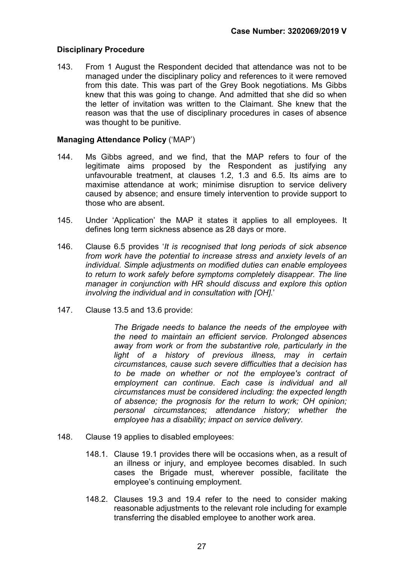# Disciplinary Procedure

143. From 1 August the Respondent decided that attendance was not to be managed under the disciplinary policy and references to it were removed from this date. This was part of the Grey Book negotiations. Ms Gibbs knew that this was going to change. And admitted that she did so when the letter of invitation was written to the Claimant. She knew that the reason was that the use of disciplinary procedures in cases of absence was thought to be punitive.

# Managing Attendance Policy ('MAP')

- 144. Ms Gibbs agreed, and we find, that the MAP refers to four of the legitimate aims proposed by the Respondent as justifying any unfavourable treatment, at clauses 1.2, 1.3 and 6.5. Its aims are to maximise attendance at work; minimise disruption to service delivery caused by absence; and ensure timely intervention to provide support to those who are absent.
- 145. Under 'Application' the MAP it states it applies to all employees. It defines long term sickness absence as 28 days or more.
- 146. Clause 6.5 provides 'It is recognised that long periods of sick absence from work have the potential to increase stress and anxiety levels of an individual. Simple adjustments on modified duties can enable employees to return to work safely before symptoms completely disappear. The line manager in conjunction with HR should discuss and explore this option involving the individual and in consultation with [OH].'
- 147. Clause 13.5 and 13.6 provide:

The Brigade needs to balance the needs of the employee with the need to maintain an efficient service. Prolonged absences away from work or from the substantive role, particularly in the light of a history of previous illness, may in certain circumstances, cause such severe difficulties that a decision has to be made on whether or not the employee's contract of employment can continue. Each case is individual and all circumstances must be considered including: the expected length of absence; the prognosis for the return to work; OH opinion; personal circumstances; attendance history; whether the employee has a disability; impact on service delivery.

- 148. Clause 19 applies to disabled employees:
	- 148.1. Clause 19.1 provides there will be occasions when, as a result of an illness or injury, and employee becomes disabled. In such cases the Brigade must, wherever possible, facilitate the employee's continuing employment.
	- 148.2. Clauses 19.3 and 19.4 refer to the need to consider making reasonable adjustments to the relevant role including for example transferring the disabled employee to another work area.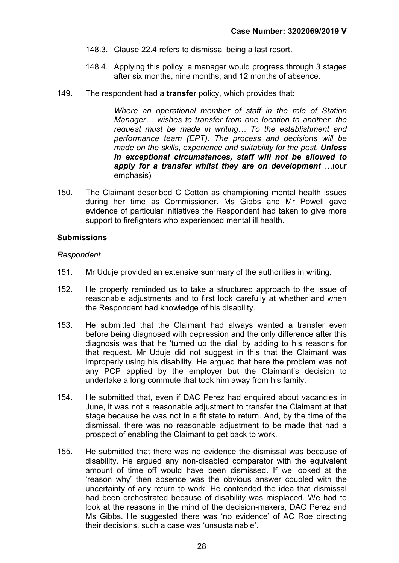- 148.3. Clause 22.4 refers to dismissal being a last resort.
- 148.4. Applying this policy, a manager would progress through 3 stages after six months, nine months, and 12 months of absence.
- 149. The respondent had a transfer policy, which provides that:

Where an operational member of staff in the role of Station Manager… wishes to transfer from one location to another, the request must be made in writing… To the establishment and performance team (EPT). The process and decisions will be made on the skills, experience and suitability for the post. Unless in exceptional circumstances, staff will not be allowed to apply for a transfer whilst they are on development …(our emphasis)

150. The Claimant described C Cotton as championing mental health issues during her time as Commissioner. Ms Gibbs and Mr Powell gave evidence of particular initiatives the Respondent had taken to give more support to firefighters who experienced mental ill health.

#### **Submissions**

#### Respondent

- 151. Mr Uduje provided an extensive summary of the authorities in writing.
- 152. He properly reminded us to take a structured approach to the issue of reasonable adjustments and to first look carefully at whether and when the Respondent had knowledge of his disability.
- 153. He submitted that the Claimant had always wanted a transfer even before being diagnosed with depression and the only difference after this diagnosis was that he 'turned up the dial' by adding to his reasons for that request. Mr Uduje did not suggest in this that the Claimant was improperly using his disability. He argued that here the problem was not any PCP applied by the employer but the Claimant's decision to undertake a long commute that took him away from his family.
- 154. He submitted that, even if DAC Perez had enquired about vacancies in June, it was not a reasonable adjustment to transfer the Claimant at that stage because he was not in a fit state to return. And, by the time of the dismissal, there was no reasonable adjustment to be made that had a prospect of enabling the Claimant to get back to work.
- 155. He submitted that there was no evidence the dismissal was because of disability. He argued any non-disabled comparator with the equivalent amount of time off would have been dismissed. If we looked at the 'reason why' then absence was the obvious answer coupled with the uncertainty of any return to work. He contended the idea that dismissal had been orchestrated because of disability was misplaced. We had to look at the reasons in the mind of the decision-makers, DAC Perez and Ms Gibbs. He suggested there was 'no evidence' of AC Roe directing their decisions, such a case was 'unsustainable'.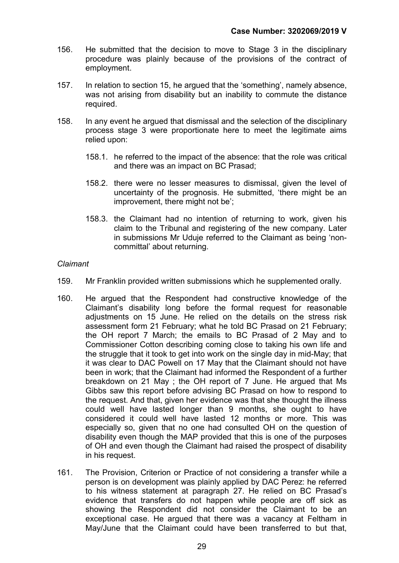- 156. He submitted that the decision to move to Stage 3 in the disciplinary procedure was plainly because of the provisions of the contract of employment.
- 157. In relation to section 15, he argued that the 'something', namely absence, was not arising from disability but an inability to commute the distance required.
- 158. In any event he argued that dismissal and the selection of the disciplinary process stage 3 were proportionate here to meet the legitimate aims relied upon:
	- 158.1. he referred to the impact of the absence: that the role was critical and there was an impact on BC Prasad;
	- 158.2. there were no lesser measures to dismissal, given the level of uncertainty of the prognosis. He submitted, 'there might be an improvement, there might not be';
	- 158.3. the Claimant had no intention of returning to work, given his claim to the Tribunal and registering of the new company. Later in submissions Mr Uduje referred to the Claimant as being 'noncommittal' about returning.

#### Claimant

- 159. Mr Franklin provided written submissions which he supplemented orally.
- 160. He argued that the Respondent had constructive knowledge of the Claimant's disability long before the formal request for reasonable adjustments on 15 June. He relied on the details on the stress risk assessment form 21 February; what he told BC Prasad on 21 February; the OH report 7 March; the emails to BC Prasad of 2 May and to Commissioner Cotton describing coming close to taking his own life and the struggle that it took to get into work on the single day in mid-May; that it was clear to DAC Powell on 17 May that the Claimant should not have been in work; that the Claimant had informed the Respondent of a further breakdown on 21 May ; the OH report of 7 June. He argued that Ms Gibbs saw this report before advising BC Prasad on how to respond to the request. And that, given her evidence was that she thought the illness could well have lasted longer than 9 months, she ought to have considered it could well have lasted 12 months or more. This was especially so, given that no one had consulted OH on the question of disability even though the MAP provided that this is one of the purposes of OH and even though the Claimant had raised the prospect of disability in his request.
- 161. The Provision, Criterion or Practice of not considering a transfer while a person is on development was plainly applied by DAC Perez: he referred to his witness statement at paragraph 27. He relied on BC Prasad's evidence that transfers do not happen while people are off sick as showing the Respondent did not consider the Claimant to be an exceptional case. He argued that there was a vacancy at Feltham in May/June that the Claimant could have been transferred to but that,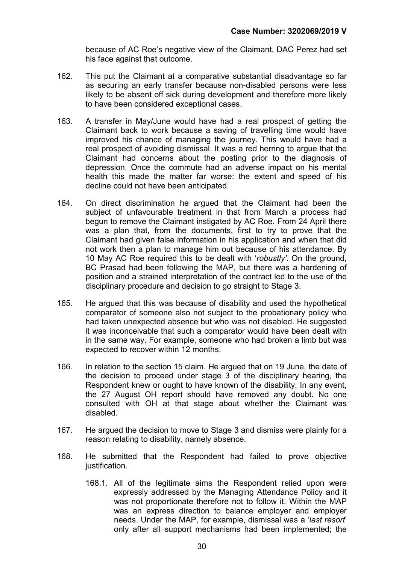because of AC Roe's negative view of the Claimant, DAC Perez had set his face against that outcome.

- 162. This put the Claimant at a comparative substantial disadvantage so far as securing an early transfer because non-disabled persons were less likely to be absent off sick during development and therefore more likely to have been considered exceptional cases.
- 163. A transfer in May/June would have had a real prospect of getting the Claimant back to work because a saving of travelling time would have improved his chance of managing the journey. This would have had a real prospect of avoiding dismissal. It was a red herring to argue that the Claimant had concerns about the posting prior to the diagnosis of depression. Once the commute had an adverse impact on his mental health this made the matter far worse: the extent and speed of his decline could not have been anticipated.
- 164. On direct discrimination he argued that the Claimant had been the subject of unfavourable treatment in that from March a process had begun to remove the Claimant instigated by AC Roe. From 24 April there was a plan that, from the documents, first to try to prove that the Claimant had given false information in his application and when that did not work then a plan to manage him out because of his attendance. By 10 May AC Roe required this to be dealt with 'robustly'. On the ground, BC Prasad had been following the MAP, but there was a hardening of position and a strained interpretation of the contract led to the use of the disciplinary procedure and decision to go straight to Stage 3.
- 165. He argued that this was because of disability and used the hypothetical comparator of someone also not subject to the probationary policy who had taken unexpected absence but who was not disabled. He suggested it was inconceivable that such a comparator would have been dealt with in the same way. For example, someone who had broken a limb but was expected to recover within 12 months.
- 166. In relation to the section 15 claim. He argued that on 19 June, the date of the decision to proceed under stage 3 of the disciplinary hearing, the Respondent knew or ought to have known of the disability. In any event, the 27 August OH report should have removed any doubt. No one consulted with OH at that stage about whether the Claimant was disabled.
- 167. He argued the decision to move to Stage 3 and dismiss were plainly for a reason relating to disability, namely absence.
- 168. He submitted that the Respondent had failed to prove objective justification.
	- 168.1. All of the legitimate aims the Respondent relied upon were expressly addressed by the Managing Attendance Policy and it was not proportionate therefore not to follow it. Within the MAP was an express direction to balance employer and employer needs. Under the MAP, for example, dismissal was a 'last resort' only after all support mechanisms had been implemented; the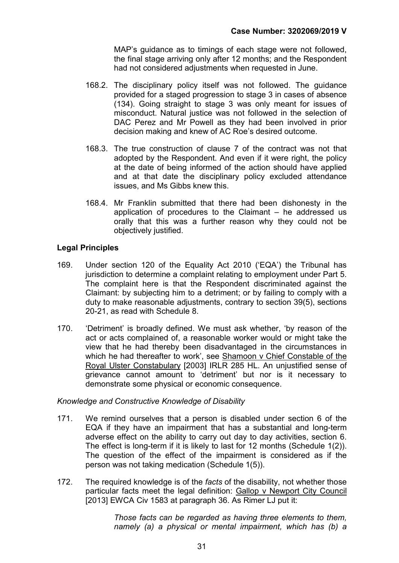MAP's guidance as to timings of each stage were not followed, the final stage arriving only after 12 months; and the Respondent had not considered adjustments when requested in June.

- 168.2. The disciplinary policy itself was not followed. The guidance provided for a staged progression to stage 3 in cases of absence (134). Going straight to stage 3 was only meant for issues of misconduct. Natural justice was not followed in the selection of DAC Perez and Mr Powell as they had been involved in prior decision making and knew of AC Roe's desired outcome.
- 168.3. The true construction of clause 7 of the contract was not that adopted by the Respondent. And even if it were right, the policy at the date of being informed of the action should have applied and at that date the disciplinary policy excluded attendance issues, and Ms Gibbs knew this.
- 168.4. Mr Franklin submitted that there had been dishonesty in the application of procedures to the Claimant – he addressed us orally that this was a further reason why they could not be objectively justified.

# Legal Principles

- 169. Under section 120 of the Equality Act 2010 ('EQA') the Tribunal has jurisdiction to determine a complaint relating to employment under Part 5. The complaint here is that the Respondent discriminated against the Claimant: by subjecting him to a detriment; or by failing to comply with a duty to make reasonable adjustments, contrary to section 39(5), sections 20-21, as read with Schedule 8.
- 170. 'Detriment' is broadly defined. We must ask whether, 'by reason of the act or acts complained of, a reasonable worker would or might take the view that he had thereby been disadvantaged in the circumstances in which he had thereafter to work', see Shamoon v Chief Constable of the Royal Ulster Constabulary [2003] IRLR 285 HL. An unjustified sense of grievance cannot amount to 'detriment' but nor is it necessary to demonstrate some physical or economic consequence.

#### Knowledge and Constructive Knowledge of Disability

- 171. We remind ourselves that a person is disabled under section 6 of the EQA if they have an impairment that has a substantial and long-term adverse effect on the ability to carry out day to day activities, section 6. The effect is long-term if it is likely to last for 12 months (Schedule 1(2)). The question of the effect of the impairment is considered as if the person was not taking medication (Schedule 1(5)).
- 172. The required knowledge is of the facts of the disability, not whether those particular facts meet the legal definition: Gallop v Newport City Council [2013] EWCA Civ 1583 at paragraph 36. As Rimer LJ put it:

Those facts can be regarded as having three elements to them, namely (a) a physical or mental impairment, which has (b) a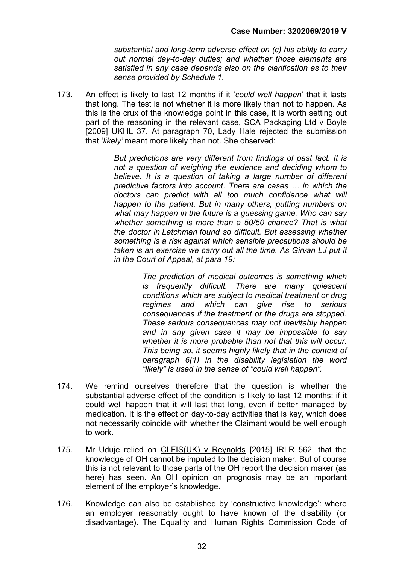substantial and long-term adverse effect on (c) his ability to carry out normal day-to-day duties; and whether those elements are satisfied in any case depends also on the clarification as to their sense provided by Schedule 1.

173. An effect is likely to last 12 months if it 'could well happen' that it lasts that long. The test is not whether it is more likely than not to happen. As this is the crux of the knowledge point in this case, it is worth setting out part of the reasoning in the relevant case, SCA Packaging Ltd v Boyle [2009] UKHL 37. At paragraph 70, Lady Hale rejected the submission that 'likely' meant more likely than not. She observed:

> But predictions are very different from findings of past fact. It is not a question of weighing the evidence and deciding whom to believe. It is a question of taking a large number of different predictive factors into account. There are cases … in which the doctors can predict with all too much confidence what will happen to the patient. But in many others, putting numbers on what may happen in the future is a guessing game. Who can say whether something is more than a 50/50 chance? That is what the doctor in Latchman found so difficult. But assessing whether something is a risk against which sensible precautions should be taken is an exercise we carry out all the time. As Girvan LJ put it in the Court of Appeal, at para 19:

> > The prediction of medical outcomes is something which is frequently difficult. There are many quiescent conditions which are subject to medical treatment or drug regimes and which can give rise to serious consequences if the treatment or the drugs are stopped. These serious consequences may not inevitably happen and in any given case it may be impossible to say whether it is more probable than not that this will occur. This being so, it seems highly likely that in the context of paragraph 6(1) in the disability legislation the word "likely" is used in the sense of "could well happen".

- 174. We remind ourselves therefore that the question is whether the substantial adverse effect of the condition is likely to last 12 months: if it could well happen that it will last that long, even if better managed by medication. It is the effect on day-to-day activities that is key, which does not necessarily coincide with whether the Claimant would be well enough to work.
- 175. Mr Uduje relied on CLFIS(UK) v Reynolds [2015] IRLR 562, that the knowledge of OH cannot be imputed to the decision maker. But of course this is not relevant to those parts of the OH report the decision maker (as here) has seen. An OH opinion on prognosis may be an important element of the employer's knowledge.
- 176. Knowledge can also be established by 'constructive knowledge': where an employer reasonably ought to have known of the disability (or disadvantage). The Equality and Human Rights Commission Code of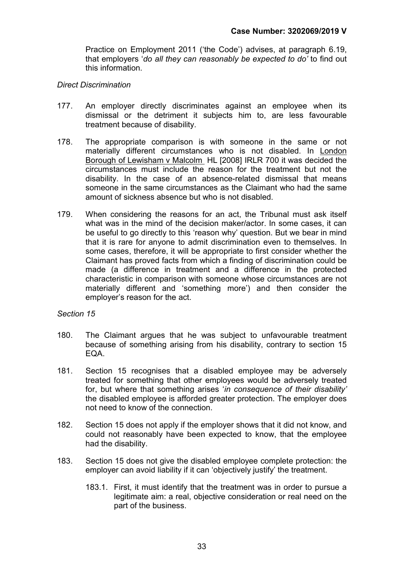Practice on Employment 2011 ('the Code') advises, at paragraph 6.19, that employers 'do all they can reasonably be expected to do' to find out this information.

#### Direct Discrimination

- 177. An employer directly discriminates against an employee when its dismissal or the detriment it subjects him to, are less favourable treatment because of disability.
- 178. The appropriate comparison is with someone in the same or not materially different circumstances who is not disabled. In London Borough of Lewisham v Malcolm HL [2008] IRLR 700 it was decided the circumstances must include the reason for the treatment but not the disability. In the case of an absence-related dismissal that means someone in the same circumstances as the Claimant who had the same amount of sickness absence but who is not disabled.
- 179. When considering the reasons for an act, the Tribunal must ask itself what was in the mind of the decision maker/actor. In some cases, it can be useful to go directly to this 'reason why' question. But we bear in mind that it is rare for anyone to admit discrimination even to themselves. In some cases, therefore, it will be appropriate to first consider whether the Claimant has proved facts from which a finding of discrimination could be made (a difference in treatment and a difference in the protected characteristic in comparison with someone whose circumstances are not materially different and 'something more') and then consider the employer's reason for the act.

#### Section 15

- 180. The Claimant argues that he was subject to unfavourable treatment because of something arising from his disability, contrary to section 15 EQA.
- 181. Section 15 recognises that a disabled employee may be adversely treated for something that other employees would be adversely treated for, but where that something arises 'in consequence of their disability' the disabled employee is afforded greater protection. The employer does not need to know of the connection.
- 182. Section 15 does not apply if the employer shows that it did not know, and could not reasonably have been expected to know, that the employee had the disability.
- 183. Section 15 does not give the disabled employee complete protection: the employer can avoid liability if it can 'objectively justify' the treatment.
	- 183.1. First, it must identify that the treatment was in order to pursue a legitimate aim: a real, objective consideration or real need on the part of the business.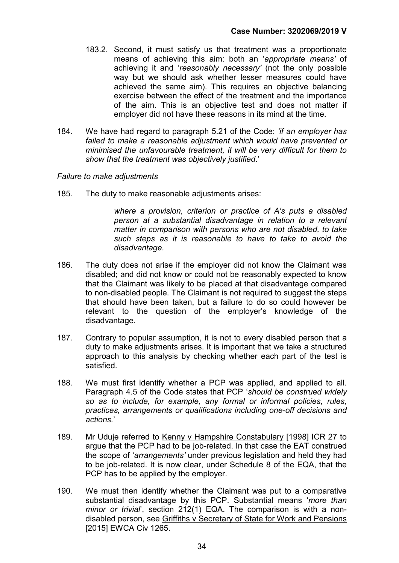- 183.2. Second, it must satisfy us that treatment was a proportionate means of achieving this aim: both an 'appropriate means' of achieving it and 'reasonably necessary' (not the only possible way but we should ask whether lesser measures could have achieved the same aim). This requires an objective balancing exercise between the effect of the treatment and the importance of the aim. This is an objective test and does not matter if employer did not have these reasons in its mind at the time.
- 184. We have had regard to paragraph 5.21 of the Code: 'if an employer has failed to make a reasonable adjustment which would have prevented or minimised the unfavourable treatment, it will be very difficult for them to show that the treatment was objectively justified.'

#### Failure to make adjustments

185. The duty to make reasonable adjustments arises:

where a provision, criterion or practice of A's puts a disabled person at a substantial disadvantage in relation to a relevant matter in comparison with persons who are not disabled, to take such steps as it is reasonable to have to take to avoid the disadvantage.

- 186. The duty does not arise if the employer did not know the Claimant was disabled; and did not know or could not be reasonably expected to know that the Claimant was likely to be placed at that disadvantage compared to non-disabled people. The Claimant is not required to suggest the steps that should have been taken, but a failure to do so could however be relevant to the question of the employer's knowledge of the disadvantage.
- 187. Contrary to popular assumption, it is not to every disabled person that a duty to make adjustments arises. It is important that we take a structured approach to this analysis by checking whether each part of the test is satisfied.
- 188. We must first identify whether a PCP was applied, and applied to all. Paragraph 4.5 of the Code states that PCP 'should be construed widely so as to include, for example, any formal or informal policies, rules, practices, arrangements or qualifications including one-off decisions and actions.'
- 189. Mr Uduje referred to Kenny v Hampshire Constabulary [1998] ICR 27 to argue that the PCP had to be job-related. In that case the EAT construed the scope of 'arrangements' under previous legislation and held they had to be job-related. It is now clear, under Schedule 8 of the EQA, that the PCP has to be applied by the employer.
- 190. We must then identify whether the Claimant was put to a comparative substantial disadvantage by this PCP. Substantial means 'more than minor or trivial', section 212(1) EQA. The comparison is with a nondisabled person, see Griffiths v Secretary of State for Work and Pensions [2015] EWCA Civ 1265.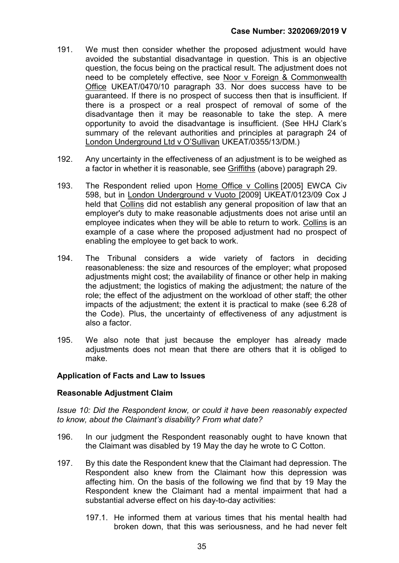- 191. We must then consider whether the proposed adjustment would have avoided the substantial disadvantage in question. This is an objective question, the focus being on the practical result. The adjustment does not need to be completely effective, see Noor v Foreign & Commonwealth Office UKEAT/0470/10 paragraph 33. Nor does success have to be guaranteed. If there is no prospect of success then that is insufficient. If there is a prospect or a real prospect of removal of some of the disadvantage then it may be reasonable to take the step. A mere opportunity to avoid the disadvantage is insufficient. (See HHJ Clark's summary of the relevant authorities and principles at paragraph 24 of London Underground Ltd v O'Sullivan UKEAT/0355/13/DM.)
- 192. Any uncertainty in the effectiveness of an adjustment is to be weighed as a factor in whether it is reasonable, see Griffiths (above) paragraph 29.
- 193. The Respondent relied upon Home Office v Collins [2005] EWCA Civ 598, but in London Underground v Vuoto [2009] UKEAT/0123/09 Cox J held that Collins did not establish any general proposition of law that an employer's duty to make reasonable adjustments does not arise until an employee indicates when they will be able to return to work. Collins is an example of a case where the proposed adjustment had no prospect of enabling the employee to get back to work.
- 194. The Tribunal considers a wide variety of factors in deciding reasonableness: the size and resources of the employer; what proposed adjustments might cost; the availability of finance or other help in making the adjustment; the logistics of making the adjustment; the nature of the role; the effect of the adjustment on the workload of other staff; the other impacts of the adjustment; the extent it is practical to make (see 6.28 of the Code). Plus, the uncertainty of effectiveness of any adjustment is also a factor.
- 195. We also note that just because the employer has already made adjustments does not mean that there are others that it is obliged to make.

#### Application of Facts and Law to Issues

#### Reasonable Adjustment Claim

Issue 10: Did the Respondent know, or could it have been reasonably expected to know, about the Claimant's disability? From what date?

- 196. In our judgment the Respondent reasonably ought to have known that the Claimant was disabled by 19 May the day he wrote to C Cotton.
- 197. By this date the Respondent knew that the Claimant had depression. The Respondent also knew from the Claimant how this depression was affecting him. On the basis of the following we find that by 19 May the Respondent knew the Claimant had a mental impairment that had a substantial adverse effect on his day-to-day activities:
	- 197.1. He informed them at various times that his mental health had broken down, that this was seriousness, and he had never felt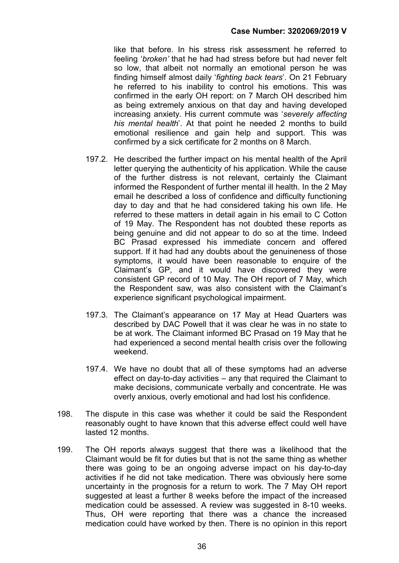like that before. In his stress risk assessment he referred to feeling 'broken' that he had had stress before but had never felt so low, that albeit not normally an emotional person he was finding himself almost daily 'fighting back tears'. On 21 February he referred to his inability to control his emotions. This was confirmed in the early OH report: on 7 March OH described him as being extremely anxious on that day and having developed increasing anxiety. His current commute was 'severely affecting his mental health'. At that point he needed 2 months to build emotional resilience and gain help and support. This was confirmed by a sick certificate for 2 months on 8 March.

- 197.2. He described the further impact on his mental health of the April letter querying the authenticity of his application. While the cause of the further distress is not relevant, certainly the Claimant informed the Respondent of further mental ill health. In the 2 May email he described a loss of confidence and difficulty functioning day to day and that he had considered taking his own life. He referred to these matters in detail again in his email to C Cotton of 19 May. The Respondent has not doubted these reports as being genuine and did not appear to do so at the time. Indeed BC Prasad expressed his immediate concern and offered support. If it had had any doubts about the genuineness of those symptoms, it would have been reasonable to enquire of the Claimant's GP, and it would have discovered they were consistent GP record of 10 May. The OH report of 7 May, which the Respondent saw, was also consistent with the Claimant's experience significant psychological impairment.
- 197.3. The Claimant's appearance on 17 May at Head Quarters was described by DAC Powell that it was clear he was in no state to be at work. The Claimant informed BC Prasad on 19 May that he had experienced a second mental health crisis over the following weekend.
- 197.4. We have no doubt that all of these symptoms had an adverse effect on day-to-day activities – any that required the Claimant to make decisions, communicate verbally and concentrate. He was overly anxious, overly emotional and had lost his confidence.
- 198. The dispute in this case was whether it could be said the Respondent reasonably ought to have known that this adverse effect could well have lasted 12 months.
- 199. The OH reports always suggest that there was a likelihood that the Claimant would be fit for duties but that is not the same thing as whether there was going to be an ongoing adverse impact on his day-to-day activities if he did not take medication. There was obviously here some uncertainty in the prognosis for a return to work. The 7 May OH report suggested at least a further 8 weeks before the impact of the increased medication could be assessed. A review was suggested in 8-10 weeks. Thus, OH were reporting that there was a chance the increased medication could have worked by then. There is no opinion in this report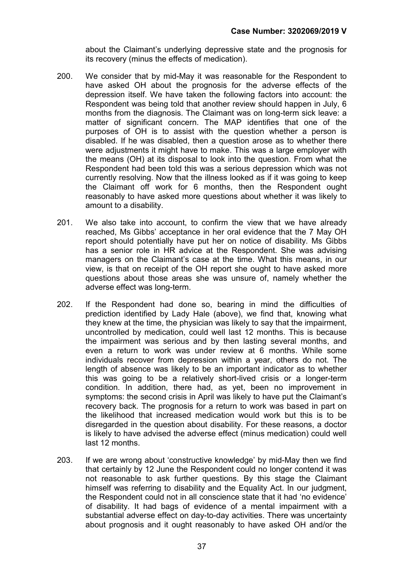about the Claimant's underlying depressive state and the prognosis for its recovery (minus the effects of medication).

- 200. We consider that by mid-May it was reasonable for the Respondent to have asked OH about the prognosis for the adverse effects of the depression itself. We have taken the following factors into account: the Respondent was being told that another review should happen in July, 6 months from the diagnosis. The Claimant was on long-term sick leave: a matter of significant concern. The MAP identifies that one of the purposes of OH is to assist with the question whether a person is disabled. If he was disabled, then a question arose as to whether there were adjustments it might have to make. This was a large employer with the means (OH) at its disposal to look into the question. From what the Respondent had been told this was a serious depression which was not currently resolving. Now that the illness looked as if it was going to keep the Claimant off work for 6 months, then the Respondent ought reasonably to have asked more questions about whether it was likely to amount to a disability.
- 201. We also take into account, to confirm the view that we have already reached, Ms Gibbs' acceptance in her oral evidence that the 7 May OH report should potentially have put her on notice of disability. Ms Gibbs has a senior role in HR advice at the Respondent. She was advising managers on the Claimant's case at the time. What this means, in our view, is that on receipt of the OH report she ought to have asked more questions about those areas she was unsure of, namely whether the adverse effect was long-term.
- 202. If the Respondent had done so, bearing in mind the difficulties of prediction identified by Lady Hale (above), we find that, knowing what they knew at the time, the physician was likely to say that the impairment, uncontrolled by medication, could well last 12 months. This is because the impairment was serious and by then lasting several months, and even a return to work was under review at 6 months. While some individuals recover from depression within a year, others do not. The length of absence was likely to be an important indicator as to whether this was going to be a relatively short-lived crisis or a longer-term condition. In addition, there had, as yet, been no improvement in symptoms: the second crisis in April was likely to have put the Claimant's recovery back. The prognosis for a return to work was based in part on the likelihood that increased medication would work but this is to be disregarded in the question about disability. For these reasons, a doctor is likely to have advised the adverse effect (minus medication) could well last 12 months.
- 203. If we are wrong about 'constructive knowledge' by mid-May then we find that certainly by 12 June the Respondent could no longer contend it was not reasonable to ask further questions. By this stage the Claimant himself was referring to disability and the Equality Act. In our judgment, the Respondent could not in all conscience state that it had 'no evidence' of disability. It had bags of evidence of a mental impairment with a substantial adverse effect on day-to-day activities. There was uncertainty about prognosis and it ought reasonably to have asked OH and/or the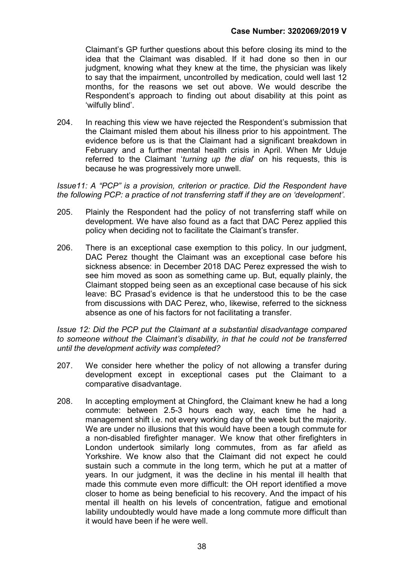Claimant's GP further questions about this before closing its mind to the idea that the Claimant was disabled. If it had done so then in our judgment, knowing what they knew at the time, the physician was likely to say that the impairment, uncontrolled by medication, could well last 12 months, for the reasons we set out above. We would describe the Respondent's approach to finding out about disability at this point as 'wilfully blind'.

204. In reaching this view we have rejected the Respondent's submission that the Claimant misled them about his illness prior to his appointment. The evidence before us is that the Claimant had a significant breakdown in February and a further mental health crisis in April. When Mr Uduje referred to the Claimant 'turning up the dial' on his requests, this is because he was progressively more unwell.

Issue11: A "PCP" is a provision, criterion or practice. Did the Respondent have the following PCP: a practice of not transferring staff if they are on 'development'.

- 205. Plainly the Respondent had the policy of not transferring staff while on development. We have also found as a fact that DAC Perez applied this policy when deciding not to facilitate the Claimant's transfer.
- 206. There is an exceptional case exemption to this policy. In our judgment, DAC Perez thought the Claimant was an exceptional case before his sickness absence: in December 2018 DAC Perez expressed the wish to see him moved as soon as something came up. But, equally plainly, the Claimant stopped being seen as an exceptional case because of his sick leave: BC Prasad's evidence is that he understood this to be the case from discussions with DAC Perez, who, likewise, referred to the sickness absence as one of his factors for not facilitating a transfer.

Issue 12: Did the PCP put the Claimant at a substantial disadvantage compared to someone without the Claimant's disability, in that he could not be transferred until the development activity was completed?

- 207. We consider here whether the policy of not allowing a transfer during development except in exceptional cases put the Claimant to a comparative disadvantage.
- 208. In accepting employment at Chingford, the Claimant knew he had a long commute: between 2.5-3 hours each way, each time he had a management shift i.e. not every working day of the week but the majority. We are under no illusions that this would have been a tough commute for a non-disabled firefighter manager. We know that other firefighters in London undertook similarly long commutes, from as far afield as Yorkshire. We know also that the Claimant did not expect he could sustain such a commute in the long term, which he put at a matter of years. In our judgment, it was the decline in his mental ill health that made this commute even more difficult: the OH report identified a move closer to home as being beneficial to his recovery. And the impact of his mental ill health on his levels of concentration, fatigue and emotional lability undoubtedly would have made a long commute more difficult than it would have been if he were well.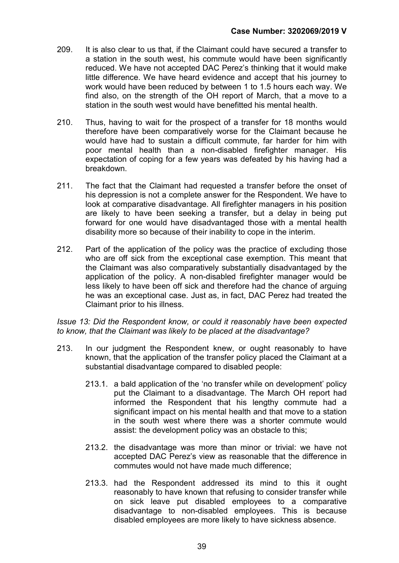- 209. It is also clear to us that, if the Claimant could have secured a transfer to a station in the south west, his commute would have been significantly reduced. We have not accepted DAC Perez's thinking that it would make little difference. We have heard evidence and accept that his journey to work would have been reduced by between 1 to 1.5 hours each way. We find also, on the strength of the OH report of March, that a move to a station in the south west would have benefitted his mental health.
- 210. Thus, having to wait for the prospect of a transfer for 18 months would therefore have been comparatively worse for the Claimant because he would have had to sustain a difficult commute, far harder for him with poor mental health than a non-disabled firefighter manager. His expectation of coping for a few years was defeated by his having had a breakdown.
- 211. The fact that the Claimant had requested a transfer before the onset of his depression is not a complete answer for the Respondent. We have to look at comparative disadvantage. All firefighter managers in his position are likely to have been seeking a transfer, but a delay in being put forward for one would have disadvantaged those with a mental health disability more so because of their inability to cope in the interim.
- 212. Part of the application of the policy was the practice of excluding those who are off sick from the exceptional case exemption. This meant that the Claimant was also comparatively substantially disadvantaged by the application of the policy. A non-disabled firefighter manager would be less likely to have been off sick and therefore had the chance of arguing he was an exceptional case. Just as, in fact, DAC Perez had treated the Claimant prior to his illness.

#### Issue 13: Did the Respondent know, or could it reasonably have been expected to know, that the Claimant was likely to be placed at the disadvantage?

- 213. In our judgment the Respondent knew, or ought reasonably to have known, that the application of the transfer policy placed the Claimant at a substantial disadvantage compared to disabled people:
	- 213.1. a bald application of the 'no transfer while on development' policy put the Claimant to a disadvantage. The March OH report had informed the Respondent that his lengthy commute had a significant impact on his mental health and that move to a station in the south west where there was a shorter commute would assist: the development policy was an obstacle to this;
	- 213.2. the disadvantage was more than minor or trivial: we have not accepted DAC Perez's view as reasonable that the difference in commutes would not have made much difference;
	- 213.3. had the Respondent addressed its mind to this it ought reasonably to have known that refusing to consider transfer while on sick leave put disabled employees to a comparative disadvantage to non-disabled employees. This is because disabled employees are more likely to have sickness absence.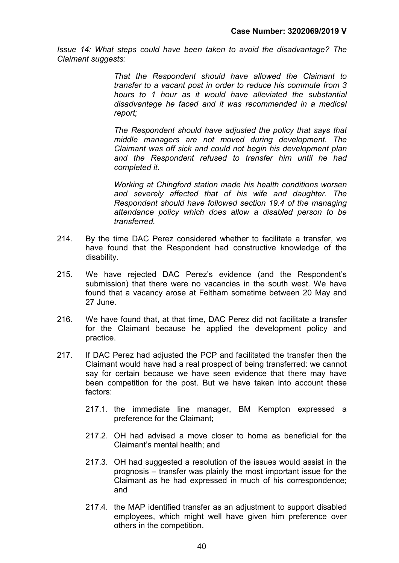Issue 14: What steps could have been taken to avoid the disadvantage? The Claimant suggests:

> That the Respondent should have allowed the Claimant to transfer to a vacant post in order to reduce his commute from 3 hours to 1 hour as it would have alleviated the substantial disadvantage he faced and it was recommended in a medical report;

> The Respondent should have adjusted the policy that says that middle managers are not moved during development. The Claimant was off sick and could not begin his development plan and the Respondent refused to transfer him until he had completed it.

> Working at Chingford station made his health conditions worsen and severely affected that of his wife and daughter. The Respondent should have followed section 19.4 of the managing attendance policy which does allow a disabled person to be transferred.

- 214. By the time DAC Perez considered whether to facilitate a transfer, we have found that the Respondent had constructive knowledge of the disability.
- 215. We have rejected DAC Perez's evidence (and the Respondent's submission) that there were no vacancies in the south west. We have found that a vacancy arose at Feltham sometime between 20 May and 27 June.
- 216. We have found that, at that time, DAC Perez did not facilitate a transfer for the Claimant because he applied the development policy and practice.
- 217. If DAC Perez had adjusted the PCP and facilitated the transfer then the Claimant would have had a real prospect of being transferred: we cannot say for certain because we have seen evidence that there may have been competition for the post. But we have taken into account these factors:
	- 217.1. the immediate line manager, BM Kempton expressed a preference for the Claimant;
	- 217.2. OH had advised a move closer to home as beneficial for the Claimant's mental health; and
	- 217.3. OH had suggested a resolution of the issues would assist in the prognosis – transfer was plainly the most important issue for the Claimant as he had expressed in much of his correspondence; and
	- 217.4. the MAP identified transfer as an adjustment to support disabled employees, which might well have given him preference over others in the competition.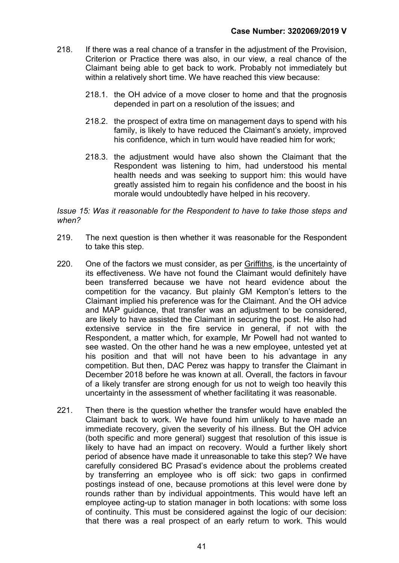- 218. If there was a real chance of a transfer in the adjustment of the Provision, Criterion or Practice there was also, in our view, a real chance of the Claimant being able to get back to work. Probably not immediately but within a relatively short time. We have reached this view because:
	- 218.1. the OH advice of a move closer to home and that the prognosis depended in part on a resolution of the issues; and
	- 218.2. the prospect of extra time on management days to spend with his family, is likely to have reduced the Claimant's anxiety, improved his confidence, which in turn would have readied him for work;
	- 218.3. the adjustment would have also shown the Claimant that the Respondent was listening to him, had understood his mental health needs and was seeking to support him: this would have greatly assisted him to regain his confidence and the boost in his morale would undoubtedly have helped in his recovery.

#### Issue 15: Was it reasonable for the Respondent to have to take those steps and when?

- 219. The next question is then whether it was reasonable for the Respondent to take this step.
- 220. One of the factors we must consider, as per Griffiths, is the uncertainty of its effectiveness. We have not found the Claimant would definitely have been transferred because we have not heard evidence about the competition for the vacancy. But plainly GM Kempton's letters to the Claimant implied his preference was for the Claimant. And the OH advice and MAP guidance, that transfer was an adjustment to be considered, are likely to have assisted the Claimant in securing the post. He also had extensive service in the fire service in general, if not with the Respondent, a matter which, for example, Mr Powell had not wanted to see wasted. On the other hand he was a new employee, untested yet at his position and that will not have been to his advantage in any competition. But then, DAC Perez was happy to transfer the Claimant in December 2018 before he was known at all. Overall, the factors in favour of a likely transfer are strong enough for us not to weigh too heavily this uncertainty in the assessment of whether facilitating it was reasonable.
- 221. Then there is the question whether the transfer would have enabled the Claimant back to work. We have found him unlikely to have made an immediate recovery, given the severity of his illness. But the OH advice (both specific and more general) suggest that resolution of this issue is likely to have had an impact on recovery. Would a further likely short period of absence have made it unreasonable to take this step? We have carefully considered BC Prasad's evidence about the problems created by transferring an employee who is off sick: two gaps in confirmed postings instead of one, because promotions at this level were done by rounds rather than by individual appointments. This would have left an employee acting-up to station manager in both locations: with some loss of continuity. This must be considered against the logic of our decision: that there was a real prospect of an early return to work. This would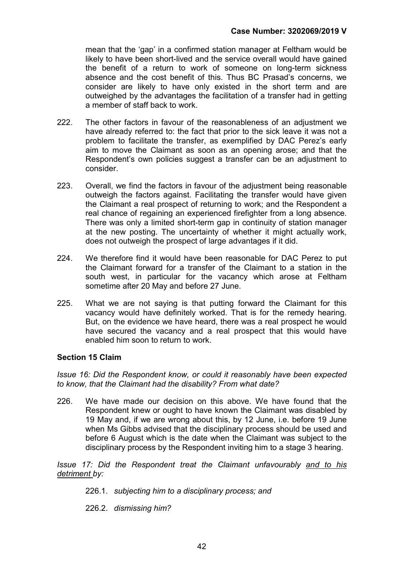mean that the 'gap' in a confirmed station manager at Feltham would be likely to have been short-lived and the service overall would have gained the benefit of a return to work of someone on long-term sickness absence and the cost benefit of this. Thus BC Prasad's concerns, we consider are likely to have only existed in the short term and are outweighed by the advantages the facilitation of a transfer had in getting a member of staff back to work.

- 222. The other factors in favour of the reasonableness of an adjustment we have already referred to: the fact that prior to the sick leave it was not a problem to facilitate the transfer, as exemplified by DAC Perez's early aim to move the Claimant as soon as an opening arose; and that the Respondent's own policies suggest a transfer can be an adjustment to consider.
- 223. Overall, we find the factors in favour of the adjustment being reasonable outweigh the factors against. Facilitating the transfer would have given the Claimant a real prospect of returning to work; and the Respondent a real chance of regaining an experienced firefighter from a long absence. There was only a limited short-term gap in continuity of station manager at the new posting. The uncertainty of whether it might actually work, does not outweigh the prospect of large advantages if it did.
- 224. We therefore find it would have been reasonable for DAC Perez to put the Claimant forward for a transfer of the Claimant to a station in the south west, in particular for the vacancy which arose at Feltham sometime after 20 May and before 27 June.
- 225. What we are not saying is that putting forward the Claimant for this vacancy would have definitely worked. That is for the remedy hearing. But, on the evidence we have heard, there was a real prospect he would have secured the vacancy and a real prospect that this would have enabled him soon to return to work.

#### Section 15 Claim

Issue 16: Did the Respondent know, or could it reasonably have been expected to know, that the Claimant had the disability? From what date?

226. We have made our decision on this above. We have found that the Respondent knew or ought to have known the Claimant was disabled by 19 May and, if we are wrong about this, by 12 June, i.e. before 19 June when Ms Gibbs advised that the disciplinary process should be used and before 6 August which is the date when the Claimant was subject to the disciplinary process by the Respondent inviting him to a stage 3 hearing.

Issue 17: Did the Respondent treat the Claimant unfavourably and to his detriment by:

- 226.1. subjecting him to a disciplinary process; and
- 226.2. dismissing him?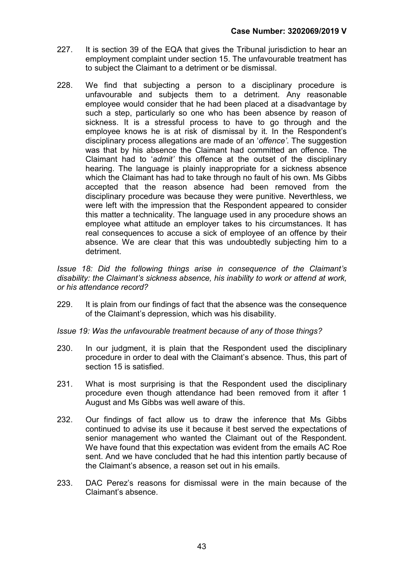- 227. It is section 39 of the EQA that gives the Tribunal jurisdiction to hear an employment complaint under section 15. The unfavourable treatment has to subject the Claimant to a detriment or be dismissal.
- 228. We find that subjecting a person to a disciplinary procedure is unfavourable and subjects them to a detriment. Any reasonable employee would consider that he had been placed at a disadvantage by such a step, particularly so one who has been absence by reason of sickness. It is a stressful process to have to go through and the employee knows he is at risk of dismissal by it. In the Respondent's disciplinary process allegations are made of an 'offence'. The suggestion was that by his absence the Claimant had committed an offence. The Claimant had to 'admit' this offence at the outset of the disciplinary hearing. The language is plainly inappropriate for a sickness absence which the Claimant has had to take through no fault of his own. Ms Gibbs accepted that the reason absence had been removed from the disciplinary procedure was because they were punitive. Neverthless, we were left with the impression that the Respondent appeared to consider this matter a technicality. The language used in any procedure shows an employee what attitude an employer takes to his circumstances. It has real consequences to accuse a sick of employee of an offence by their absence. We are clear that this was undoubtedly subjecting him to a detriment.

Issue 18: Did the following things arise in consequence of the Claimant's disability: the Claimant's sickness absence, his inability to work or attend at work, or his attendance record?

229. It is plain from our findings of fact that the absence was the consequence of the Claimant's depression, which was his disability.

Issue 19: Was the unfavourable treatment because of any of those things?

- 230. In our judgment, it is plain that the Respondent used the disciplinary procedure in order to deal with the Claimant's absence. Thus, this part of section 15 is satisfied.
- 231. What is most surprising is that the Respondent used the disciplinary procedure even though attendance had been removed from it after 1 August and Ms Gibbs was well aware of this.
- 232. Our findings of fact allow us to draw the inference that Ms Gibbs continued to advise its use it because it best served the expectations of senior management who wanted the Claimant out of the Respondent. We have found that this expectation was evident from the emails AC Roe sent. And we have concluded that he had this intention partly because of the Claimant's absence, a reason set out in his emails.
- 233. DAC Perez's reasons for dismissal were in the main because of the Claimant's absence.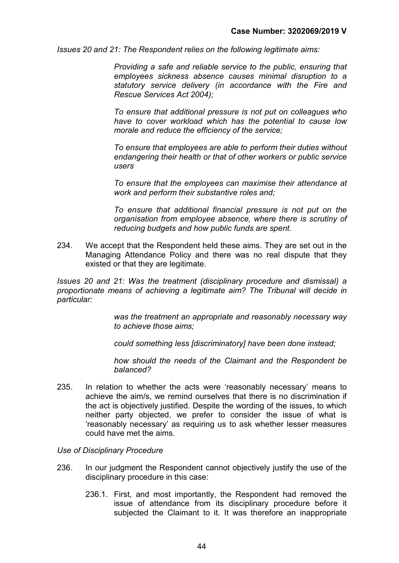Issues 20 and 21: The Respondent relies on the following legitimate aims:

Providing a safe and reliable service to the public, ensuring that employees sickness absence causes minimal disruption to a statutory service delivery (in accordance with the Fire and Rescue Services Act 2004);

To ensure that additional pressure is not put on colleagues who have to cover workload which has the potential to cause low morale and reduce the efficiency of the service;

To ensure that employees are able to perform their duties without endangering their health or that of other workers or public service users

To ensure that the employees can maximise their attendance at work and perform their substantive roles and;

To ensure that additional financial pressure is not put on the organisation from employee absence, where there is scrutiny of reducing budgets and how public funds are spent.

234. We accept that the Respondent held these aims. They are set out in the Managing Attendance Policy and there was no real dispute that they existed or that they are legitimate.

Issues 20 and 21: Was the treatment (disciplinary procedure and dismissal) a proportionate means of achieving a legitimate aim? The Tribunal will decide in particular:

> was the treatment an appropriate and reasonably necessary way to achieve those aims;

could something less [discriminatory] have been done instead;

how should the needs of the Claimant and the Respondent be balanced?

235. In relation to whether the acts were 'reasonably necessary' means to achieve the aim/s, we remind ourselves that there is no discrimination if the act is objectively justified. Despite the wording of the issues, to which neither party objected, we prefer to consider the issue of what is 'reasonably necessary' as requiring us to ask whether lesser measures could have met the aims.

#### Use of Disciplinary Procedure

- 236. In our judgment the Respondent cannot objectively justify the use of the disciplinary procedure in this case:
	- 236.1. First, and most importantly, the Respondent had removed the issue of attendance from its disciplinary procedure before it subjected the Claimant to it. It was therefore an inappropriate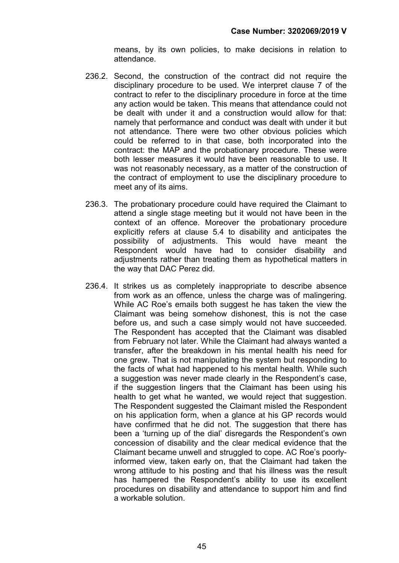means, by its own policies, to make decisions in relation to attendance.

- 236.2. Second, the construction of the contract did not require the disciplinary procedure to be used. We interpret clause 7 of the contract to refer to the disciplinary procedure in force at the time any action would be taken. This means that attendance could not be dealt with under it and a construction would allow for that: namely that performance and conduct was dealt with under it but not attendance. There were two other obvious policies which could be referred to in that case, both incorporated into the contract: the MAP and the probationary procedure. These were both lesser measures it would have been reasonable to use. It was not reasonably necessary, as a matter of the construction of the contract of employment to use the disciplinary procedure to meet any of its aims.
- 236.3. The probationary procedure could have required the Claimant to attend a single stage meeting but it would not have been in the context of an offence. Moreover the probationary procedure explicitly refers at clause 5.4 to disability and anticipates the possibility of adjustments. This would have meant the Respondent would have had to consider disability and adjustments rather than treating them as hypothetical matters in the way that DAC Perez did.
- 236.4. It strikes us as completely inappropriate to describe absence from work as an offence, unless the charge was of malingering. While AC Roe's emails both suggest he has taken the view the Claimant was being somehow dishonest, this is not the case before us, and such a case simply would not have succeeded. The Respondent has accepted that the Claimant was disabled from February not later. While the Claimant had always wanted a transfer, after the breakdown in his mental health his need for one grew. That is not manipulating the system but responding to the facts of what had happened to his mental health. While such a suggestion was never made clearly in the Respondent's case, if the suggestion lingers that the Claimant has been using his health to get what he wanted, we would reject that suggestion. The Respondent suggested the Claimant misled the Respondent on his application form, when a glance at his GP records would have confirmed that he did not. The suggestion that there has been a 'turning up of the dial' disregards the Respondent's own concession of disability and the clear medical evidence that the Claimant became unwell and struggled to cope. AC Roe's poorlyinformed view, taken early on, that the Claimant had taken the wrong attitude to his posting and that his illness was the result has hampered the Respondent's ability to use its excellent procedures on disability and attendance to support him and find a workable solution.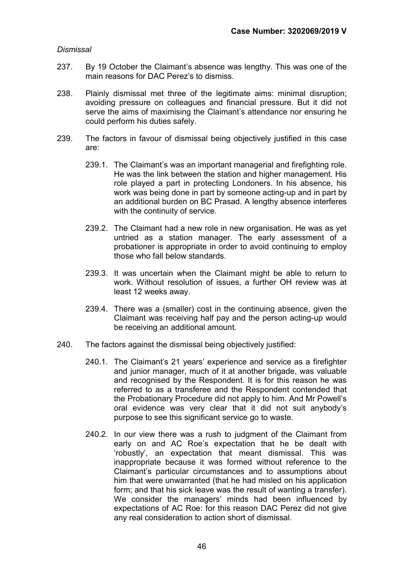# Dismissal

- 237. By 19 October the Claimant's absence was lengthy. This was one of the main reasons for DAC Perez's to dismiss.
- 238. Plainly dismissal met three of the legitimate aims: minimal disruption; avoiding pressure on colleagues and financial pressure. But it did not serve the aims of maximising the Claimant's attendance nor ensuring he could perform his duties safely.
- 239. The factors in favour of dismissal being objectively justified in this case are:
	- 239.1. The Claimant's was an important managerial and firefighting role. He was the link between the station and higher management. His role played a part in protecting Londoners. In his absence, his work was being done in part by someone acting-up and in part by an additional burden on BC Prasad. A lengthy absence interferes with the continuity of service.
	- 239.2. The Claimant had a new role in new organisation. He was as yet untried as a station manager. The early assessment of a probationer is appropriate in order to avoid continuing to employ those who fall below standards.
	- 239.3. It was uncertain when the Claimant might be able to return to work. Without resolution of issues, a further OH review was at least 12 weeks away.
	- 239.4. There was a (smaller) cost in the continuing absence, given the Claimant was receiving half pay and the person acting-up would be receiving an additional amount.
- 240. The factors against the dismissal being objectively justified:
	- 240.1. The Claimant's 21 years' experience and service as a firefighter and junior manager, much of it at another brigade, was valuable and recognised by the Respondent. It is for this reason he was referred to as a transferee and the Respondent contended that the Probationary Procedure did not apply to him. And Mr Powell's oral evidence was very clear that it did not suit anybody's purpose to see this significant service go to waste.
	- 240.2. In our view there was a rush to judgment of the Claimant from early on and AC Roe's expectation that he be dealt with 'robustly', an expectation that meant dismissal. This was inappropriate because it was formed without reference to the Claimant's particular circumstances and to assumptions about him that were unwarranted (that he had misled on his application form; and that his sick leave was the result of wanting a transfer). We consider the managers' minds had been influenced by expectations of AC Roe: for this reason DAC Perez did not give any real consideration to action short of dismissal.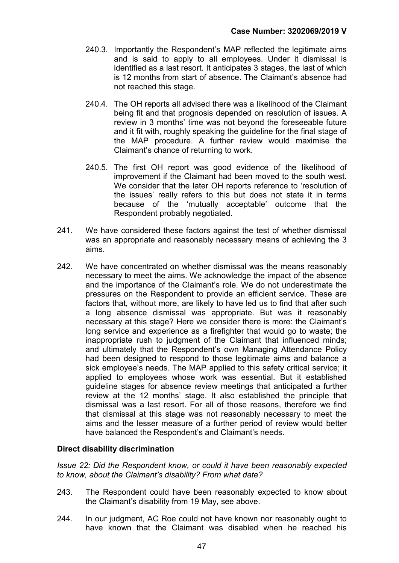- 240.3. Importantly the Respondent's MAP reflected the legitimate aims and is said to apply to all employees. Under it dismissal is identified as a last resort. It anticipates 3 stages, the last of which is 12 months from start of absence. The Claimant's absence had not reached this stage.
- 240.4. The OH reports all advised there was a likelihood of the Claimant being fit and that prognosis depended on resolution of issues. A review in 3 months' time was not beyond the foreseeable future and it fit with, roughly speaking the guideline for the final stage of the MAP procedure. A further review would maximise the Claimant's chance of returning to work.
- 240.5. The first OH report was good evidence of the likelihood of improvement if the Claimant had been moved to the south west. We consider that the later OH reports reference to 'resolution of the issues' really refers to this but does not state it in terms because of the 'mutually acceptable' outcome that the Respondent probably negotiated.
- 241. We have considered these factors against the test of whether dismissal was an appropriate and reasonably necessary means of achieving the 3 aims.
- 242. We have concentrated on whether dismissal was the means reasonably necessary to meet the aims. We acknowledge the impact of the absence and the importance of the Claimant's role. We do not underestimate the pressures on the Respondent to provide an efficient service. These are factors that, without more, are likely to have led us to find that after such a long absence dismissal was appropriate. But was it reasonably necessary at this stage? Here we consider there is more: the Claimant's long service and experience as a firefighter that would go to waste; the inappropriate rush to judgment of the Claimant that influenced minds; and ultimately that the Respondent's own Managing Attendance Policy had been designed to respond to those legitimate aims and balance a sick employee's needs. The MAP applied to this safety critical service; it applied to employees whose work was essential. But it established guideline stages for absence review meetings that anticipated a further review at the 12 months' stage. It also established the principle that dismissal was a last resort. For all of those reasons, therefore we find that dismissal at this stage was not reasonably necessary to meet the aims and the lesser measure of a further period of review would better have balanced the Respondent's and Claimant's needs.

#### Direct disability discrimination

Issue 22: Did the Respondent know, or could it have been reasonably expected to know, about the Claimant's disability? From what date?

- 243. The Respondent could have been reasonably expected to know about the Claimant's disability from 19 May, see above.
- 244. In our judgment, AC Roe could not have known nor reasonably ought to have known that the Claimant was disabled when he reached his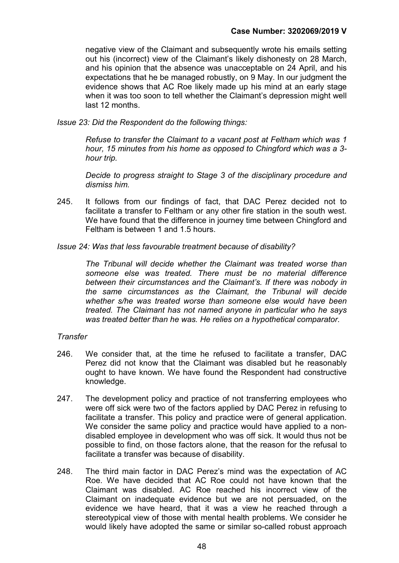negative view of the Claimant and subsequently wrote his emails setting out his (incorrect) view of the Claimant's likely dishonesty on 28 March, and his opinion that the absence was unacceptable on 24 April, and his expectations that he be managed robustly, on 9 May. In our judgment the evidence shows that AC Roe likely made up his mind at an early stage when it was too soon to tell whether the Claimant's depression might well last 12 months.

Issue 23: Did the Respondent do the following things:

 Refuse to transfer the Claimant to a vacant post at Feltham which was 1 hour, 15 minutes from his home as opposed to Chingford which was a 3 hour trip.

 Decide to progress straight to Stage 3 of the disciplinary procedure and dismiss him.

- 245. It follows from our findings of fact, that DAC Perez decided not to facilitate a transfer to Feltham or any other fire station in the south west. We have found that the difference in journey time between Chingford and Feltham is between 1 and 1.5 hours.
- Issue 24: Was that less favourable treatment because of disability?

The Tribunal will decide whether the Claimant was treated worse than someone else was treated. There must be no material difference between their circumstances and the Claimant's. If there was nobody in the same circumstances as the Claimant, the Tribunal will decide whether s/he was treated worse than someone else would have been treated. The Claimant has not named anyone in particular who he says was treated better than he was. He relies on a hypothetical comparator.

#### **Transfer**

- 246. We consider that, at the time he refused to facilitate a transfer, DAC Perez did not know that the Claimant was disabled but he reasonably ought to have known. We have found the Respondent had constructive knowledge.
- 247. The development policy and practice of not transferring employees who were off sick were two of the factors applied by DAC Perez in refusing to facilitate a transfer. This policy and practice were of general application. We consider the same policy and practice would have applied to a nondisabled employee in development who was off sick. It would thus not be possible to find, on those factors alone, that the reason for the refusal to facilitate a transfer was because of disability.
- 248. The third main factor in DAC Perez's mind was the expectation of AC Roe. We have decided that AC Roe could not have known that the Claimant was disabled. AC Roe reached his incorrect view of the Claimant on inadequate evidence but we are not persuaded, on the evidence we have heard, that it was a view he reached through a stereotypical view of those with mental health problems. We consider he would likely have adopted the same or similar so-called robust approach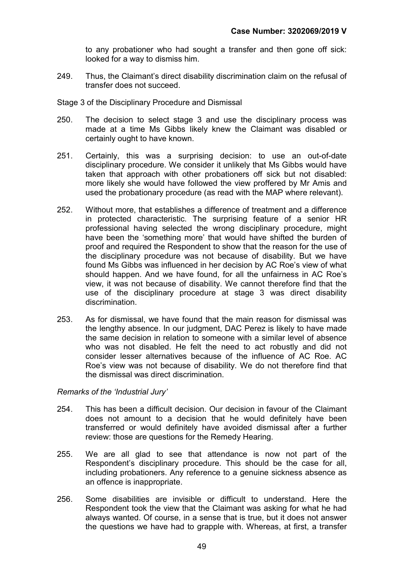to any probationer who had sought a transfer and then gone off sick: looked for a way to dismiss him.

- 249. Thus, the Claimant's direct disability discrimination claim on the refusal of transfer does not succeed.
- Stage 3 of the Disciplinary Procedure and Dismissal
- 250. The decision to select stage 3 and use the disciplinary process was made at a time Ms Gibbs likely knew the Claimant was disabled or certainly ought to have known.
- 251. Certainly, this was a surprising decision: to use an out-of-date disciplinary procedure. We consider it unlikely that Ms Gibbs would have taken that approach with other probationers off sick but not disabled: more likely she would have followed the view proffered by Mr Amis and used the probationary procedure (as read with the MAP where relevant).
- 252. Without more, that establishes a difference of treatment and a difference in protected characteristic. The surprising feature of a senior HR professional having selected the wrong disciplinary procedure, might have been the 'something more' that would have shifted the burden of proof and required the Respondent to show that the reason for the use of the disciplinary procedure was not because of disability. But we have found Ms Gibbs was influenced in her decision by AC Roe's view of what should happen. And we have found, for all the unfairness in AC Roe's view, it was not because of disability. We cannot therefore find that the use of the disciplinary procedure at stage 3 was direct disability discrimination.
- 253. As for dismissal, we have found that the main reason for dismissal was the lengthy absence. In our judgment, DAC Perez is likely to have made the same decision in relation to someone with a similar level of absence who was not disabled. He felt the need to act robustly and did not consider lesser alternatives because of the influence of AC Roe. AC Roe's view was not because of disability. We do not therefore find that the dismissal was direct discrimination.

#### Remarks of the 'Industrial Jury'

- 254. This has been a difficult decision. Our decision in favour of the Claimant does not amount to a decision that he would definitely have been transferred or would definitely have avoided dismissal after a further review: those are questions for the Remedy Hearing.
- 255. We are all glad to see that attendance is now not part of the Respondent's disciplinary procedure. This should be the case for all, including probationers. Any reference to a genuine sickness absence as an offence is inappropriate.
- 256. Some disabilities are invisible or difficult to understand. Here the Respondent took the view that the Claimant was asking for what he had always wanted. Of course, in a sense that is true, but it does not answer the questions we have had to grapple with. Whereas, at first, a transfer